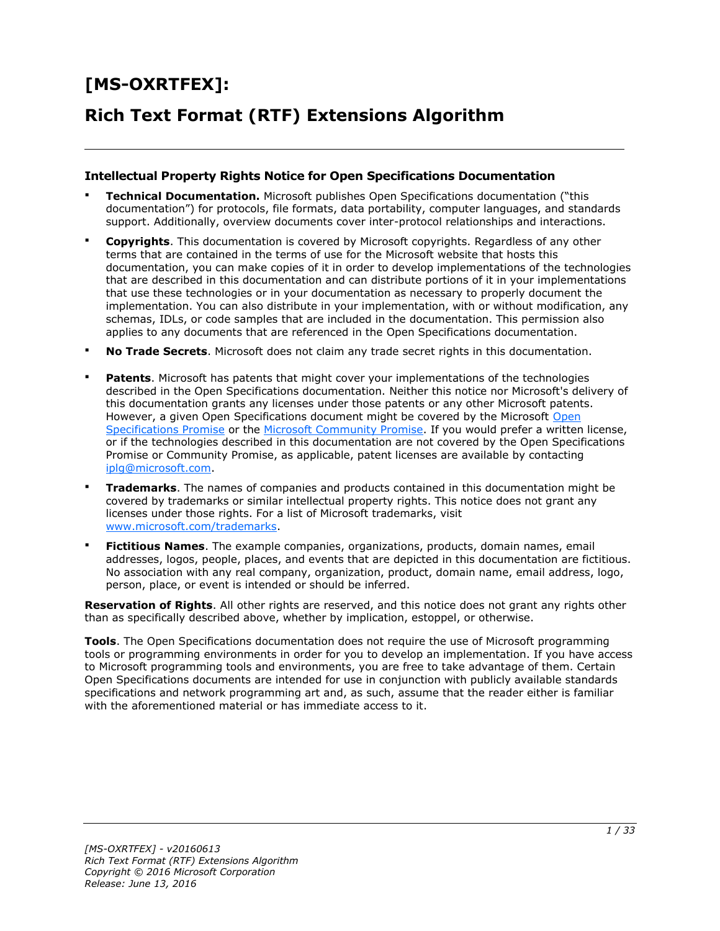# **[MS-OXRTFEX]: Rich Text Format (RTF) Extensions Algorithm**

#### **Intellectual Property Rights Notice for Open Specifications Documentation**

- **Technical Documentation.** Microsoft publishes Open Specifications documentation ("this documentation") for protocols, file formats, data portability, computer languages, and standards support. Additionally, overview documents cover inter-protocol relationships and interactions.
- **Copyrights**. This documentation is covered by Microsoft copyrights. Regardless of any other terms that are contained in the terms of use for the Microsoft website that hosts this documentation, you can make copies of it in order to develop implementations of the technologies that are described in this documentation and can distribute portions of it in your implementations that use these technologies or in your documentation as necessary to properly document the implementation. You can also distribute in your implementation, with or without modification, any schemas, IDLs, or code samples that are included in the documentation. This permission also applies to any documents that are referenced in the Open Specifications documentation.
- **No Trade Secrets**. Microsoft does not claim any trade secret rights in this documentation.
- **Patents**. Microsoft has patents that might cover your implementations of the technologies described in the Open Specifications documentation. Neither this notice nor Microsoft's delivery of this documentation grants any licenses under those patents or any other Microsoft patents. However, a given Open Specifications document might be covered by the Microsoft [Open](http://go.microsoft.com/fwlink/?LinkId=214445)  [Specifications Promise](http://go.microsoft.com/fwlink/?LinkId=214445) or the [Microsoft Community Promise.](http://go.microsoft.com/fwlink/?LinkId=214448) If you would prefer a written license, or if the technologies described in this documentation are not covered by the Open Specifications Promise or Community Promise, as applicable, patent licenses are available by contacting [iplg@microsoft.com.](mailto:iplg@microsoft.com)
- **Trademarks**. The names of companies and products contained in this documentation might be covered by trademarks or similar intellectual property rights. This notice does not grant any licenses under those rights. For a list of Microsoft trademarks, visit [www.microsoft.com/trademarks.](http://www.microsoft.com/trademarks)
- **Fictitious Names**. The example companies, organizations, products, domain names, email addresses, logos, people, places, and events that are depicted in this documentation are fictitious. No association with any real company, organization, product, domain name, email address, logo, person, place, or event is intended or should be inferred.

**Reservation of Rights**. All other rights are reserved, and this notice does not grant any rights other than as specifically described above, whether by implication, estoppel, or otherwise.

**Tools**. The Open Specifications documentation does not require the use of Microsoft programming tools or programming environments in order for you to develop an implementation. If you have access to Microsoft programming tools and environments, you are free to take advantage of them. Certain Open Specifications documents are intended for use in conjunction with publicly available standards specifications and network programming art and, as such, assume that the reader either is familiar with the aforementioned material or has immediate access to it.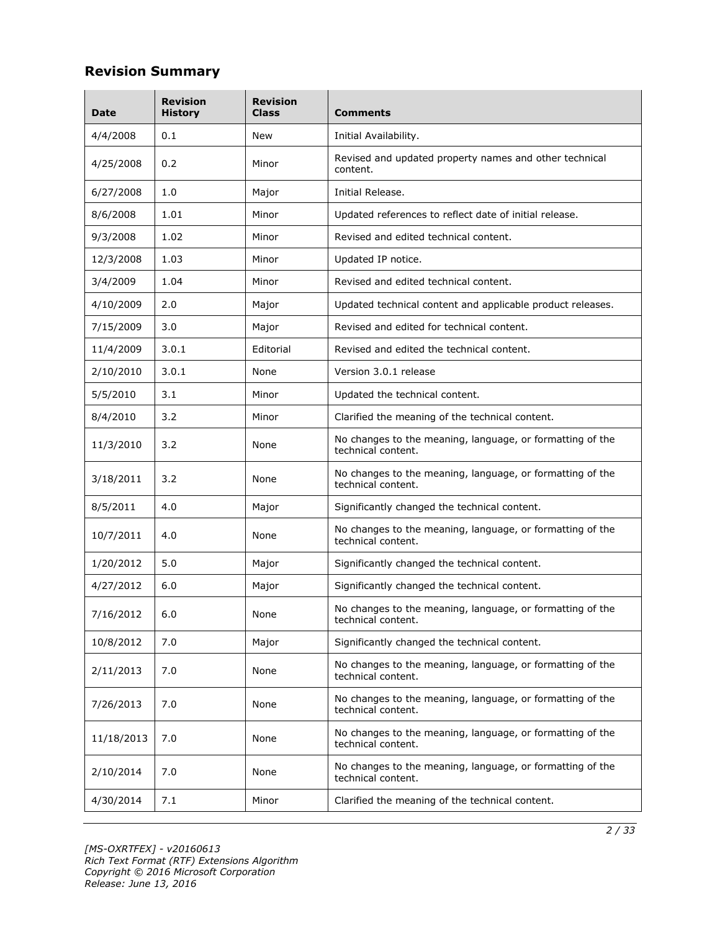#### **Revision Summary**

| Date       | <b>Revision</b><br><b>History</b>              | <b>Revision</b><br>Class | <b>Comments</b>                                                                 |
|------------|------------------------------------------------|--------------------------|---------------------------------------------------------------------------------|
| 4/4/2008   | 0.1                                            | New                      | Initial Availability.                                                           |
| 4/25/2008  | 0.2                                            | Minor                    | Revised and updated property names and other technical<br>content.              |
| 6/27/2008  | 1.0                                            | Major                    | Initial Release.                                                                |
| 8/6/2008   | 1.01                                           | Minor                    | Updated references to reflect date of initial release.                          |
| 9/3/2008   | 1.02                                           | Minor                    | Revised and edited technical content.                                           |
| 12/3/2008  | 1.03                                           | Minor                    | Updated IP notice.                                                              |
| 3/4/2009   | 1.04                                           | Minor                    | Revised and edited technical content.                                           |
| 4/10/2009  | 2.0                                            | Major                    | Updated technical content and applicable product releases.                      |
| 7/15/2009  | 3.0                                            | Major                    | Revised and edited for technical content.                                       |
| 11/4/2009  | 3.0.1                                          | Editorial                | Revised and edited the technical content.                                       |
| 2/10/2010  | 3.0.1                                          | None                     | Version 3.0.1 release                                                           |
| 5/5/2010   | 3.1<br>Minor<br>Updated the technical content. |                          |                                                                                 |
| 8/4/2010   | 3.2                                            | Minor                    | Clarified the meaning of the technical content.                                 |
| 11/3/2010  | 3.2                                            | None                     | No changes to the meaning, language, or formatting of the<br>technical content. |
| 3/18/2011  | 3.2                                            | None                     | No changes to the meaning, language, or formatting of the<br>technical content. |
| 8/5/2011   | 4.0                                            | Major                    | Significantly changed the technical content.                                    |
| 10/7/2011  | 4.0<br>None<br>technical content.              |                          | No changes to the meaning, language, or formatting of the                       |
| 1/20/2012  | 5.0                                            | Major                    | Significantly changed the technical content.                                    |
| 4/27/2012  | 6.0                                            | Major                    | Significantly changed the technical content.                                    |
| 7/16/2012  | 6.0                                            | None                     | No changes to the meaning, language, or formatting of the<br>technical content. |
| 10/8/2012  | 7.0                                            | Major                    | Significantly changed the technical content.                                    |
| 2/11/2013  | 7.0                                            | None                     | No changes to the meaning, language, or formatting of the<br>technical content. |
| 7/26/2013  | 7.0                                            | None                     | No changes to the meaning, language, or formatting of the<br>technical content. |
| 11/18/2013 | 7.0                                            | None                     | No changes to the meaning, language, or formatting of the<br>technical content. |
| 2/10/2014  | 7.0                                            | None                     | No changes to the meaning, language, or formatting of the<br>technical content. |
| 4/30/2014  | 7.1                                            | Minor                    | Clarified the meaning of the technical content.                                 |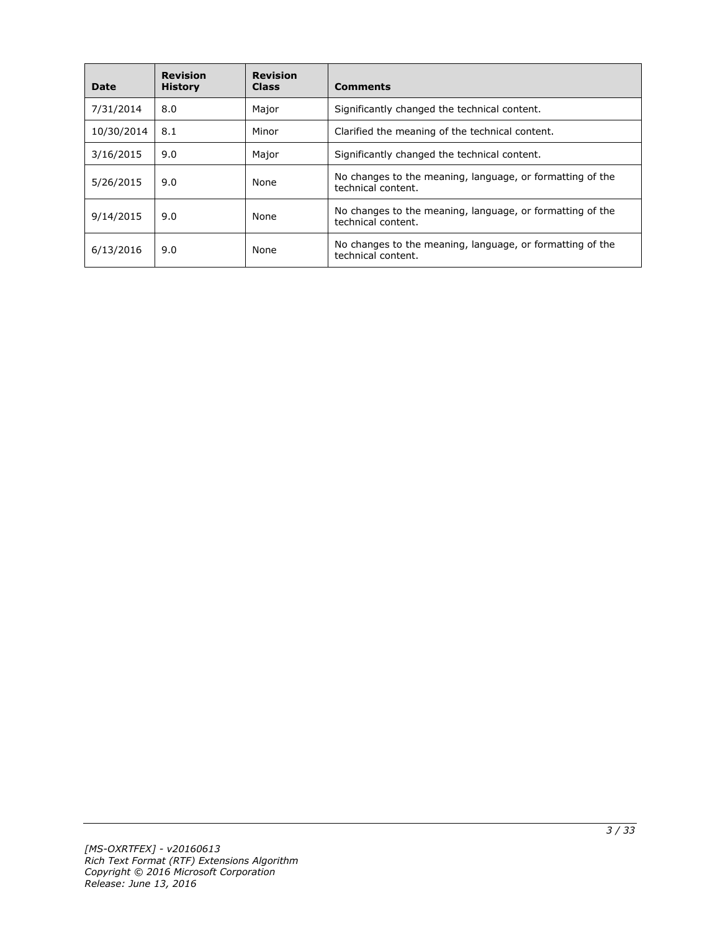| Date       | <b>Revision</b><br><b>History</b> | <b>Revision</b><br><b>Class</b> | <b>Comments</b>                                                                 |
|------------|-----------------------------------|---------------------------------|---------------------------------------------------------------------------------|
| 7/31/2014  | 8.0                               | Major                           | Significantly changed the technical content.                                    |
| 10/30/2014 | 8.1                               | Minor                           | Clarified the meaning of the technical content.                                 |
| 3/16/2015  | 9.0                               | Major                           | Significantly changed the technical content.                                    |
| 5/26/2015  | 9.0                               | None                            | No changes to the meaning, language, or formatting of the<br>technical content. |
| 9/14/2015  | 9.0                               | None                            | No changes to the meaning, language, or formatting of the<br>technical content. |
| 6/13/2016  | 9.0                               | None                            | No changes to the meaning, language, or formatting of the<br>technical content. |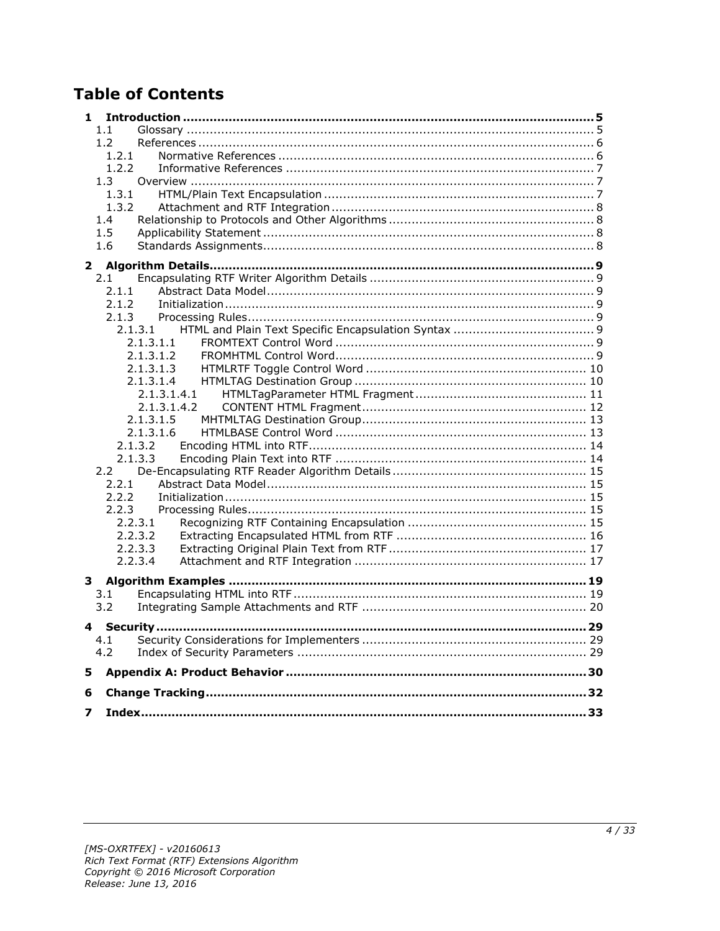## **Table of Contents**

| 1           |  |
|-------------|--|
| 1.1         |  |
|             |  |
| 1.2         |  |
| 1.2.1       |  |
| 1.2.2       |  |
| 1.3         |  |
| 1.3.1       |  |
| 1.3.2       |  |
| 1.4         |  |
| 1.5         |  |
| 1.6         |  |
|             |  |
|             |  |
| 2.1         |  |
| 2.1.1       |  |
| 2.1.2       |  |
| 2.1.3       |  |
| 2.1.3.1     |  |
| 2.1.3.1.1   |  |
|             |  |
| 2.1.3.1.2   |  |
| 2.1.3.1.3   |  |
| 2.1.3.1.4   |  |
| 2.1.3.1.4.1 |  |
| 2.1.3.1.4.2 |  |
| 2.1.3.1.5   |  |
| 2.1.3.1.6   |  |
| 2.1.3.2     |  |
| 2.1.3.3     |  |
| 2.2         |  |
|             |  |
| 2.2.1       |  |
| 2.2.2       |  |
| 2.2.3       |  |
| 2.2.3.1     |  |
| 2.2.3.2     |  |
| 2.2.3.3     |  |
| 2.2.3.4     |  |
|             |  |
|             |  |
| 3.1         |  |
| 3.2         |  |
| 4           |  |
| 4.1         |  |
| 4.2         |  |
|             |  |
| 5           |  |
|             |  |
| 6           |  |
| 7           |  |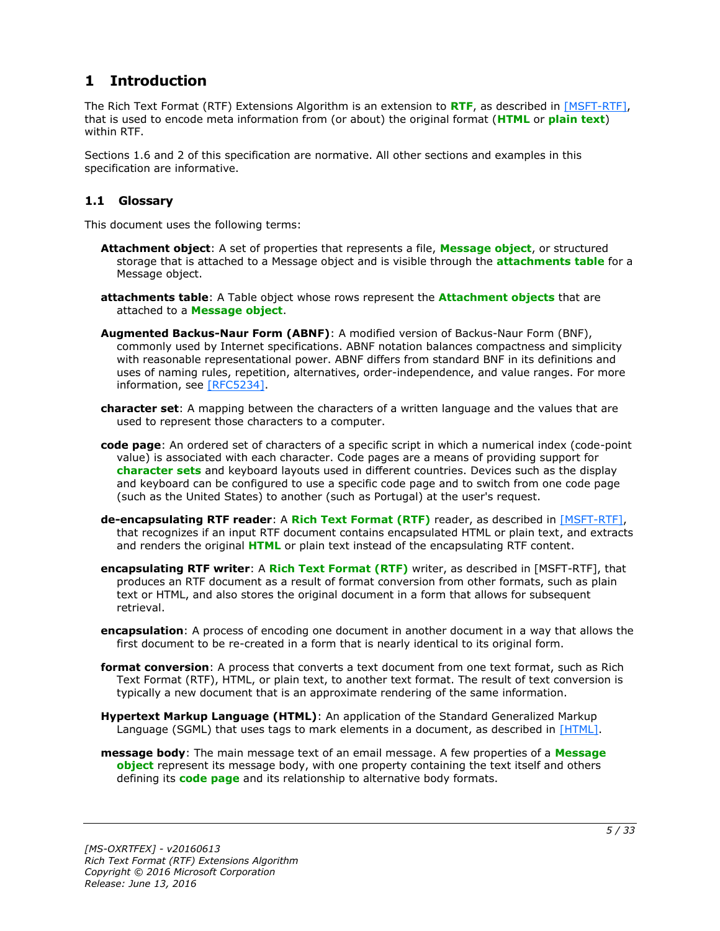## <span id="page-4-0"></span>**1 Introduction**

The Rich Text Format (RTF) Extensions Algorithm is an extension to **[RTF](#page-5-2)**, as described in [\[MSFT-RTF\],](http://go.microsoft.com/fwlink/?LinkId=120924) that is used to encode meta information from (or about) the original format (**[HTML](#page-4-2)** or **[plain text](#page-5-3)**) within RTF.

Sections 1.6 and 2 of this specification are normative. All other sections and examples in this specification are informative.

#### <span id="page-4-1"></span>**1.1 Glossary**

This document uses the following terms:

- <span id="page-4-4"></span>**Attachment object**: A set of properties that represents a file, **[Message object](#page-5-4)**, or structured storage that is attached to a Message object and is visible through the **[attachments table](#page-4-3)** for a Message object.
- <span id="page-4-3"></span>**attachments table**: A Table object whose rows represent the **[Attachment objects](#page-4-4)** that are attached to a **[Message object](#page-5-4)**.
- <span id="page-4-12"></span>**Augmented Backus-Naur Form (ABNF)**: A modified version of Backus-Naur Form (BNF), commonly used by Internet specifications. ABNF notation balances compactness and simplicity with reasonable representational power. ABNF differs from standard BNF in its definitions and uses of naming rules, repetition, alternatives, order-independence, and value ranges. For more information, see [\[RFC5234\].](http://go.microsoft.com/fwlink/?LinkId=123096)
- <span id="page-4-5"></span>**character set**: A mapping between the characters of a written language and the values that are used to represent those characters to a computer.
- <span id="page-4-6"></span>**code page**: An ordered set of characters of a specific script in which a numerical index (code-point value) is associated with each character. Code pages are a means of providing support for **[character sets](#page-4-5)** and keyboard layouts used in different countries. Devices such as the display and keyboard can be configured to use a specific code page and to switch from one code page (such as the United States) to another (such as Portugal) at the user's request.
- <span id="page-4-10"></span>**de-encapsulating RTF reader**: A **[Rich Text Format \(RTF\)](#page-5-2)** reader, as described in [\[MSFT-RTF\],](http://go.microsoft.com/fwlink/?LinkId=120924) that recognizes if an input RTF document contains encapsulated HTML or plain text, and extracts and renders the original **[HTML](#page-4-2)** or plain text instead of the encapsulating RTF content.
- <span id="page-4-9"></span>**encapsulating RTF writer**: A **[Rich Text Format \(RTF\)](#page-5-2)** writer, as described in [MSFT-RTF], that produces an RTF document as a result of format conversion from other formats, such as plain text or HTML, and also stores the original document in a form that allows for subsequent retrieval.
- <span id="page-4-8"></span>**encapsulation**: A process of encoding one document in another document in a way that allows the first document to be re-created in a form that is nearly identical to its original form.
- <span id="page-4-7"></span>**format conversion**: A process that converts a text document from one text format, such as Rich Text Format (RTF), HTML, or plain text, to another text format. The result of text conversion is typically a new document that is an approximate rendering of the same information.
- <span id="page-4-2"></span>**Hypertext Markup Language (HTML)**: An application of the Standard Generalized Markup Language (SGML) that uses tags to mark elements in a document, as described in [\[HTML\].](http://go.microsoft.com/fwlink/?LinkId=89880)
- <span id="page-4-11"></span>**message body**: The main message text of an email message. A few properties of a **[Message](#page-5-4)  [object](#page-5-4)** represent its message body, with one property containing the text itself and others defining its **[code page](#page-4-6)** and its relationship to alternative body formats.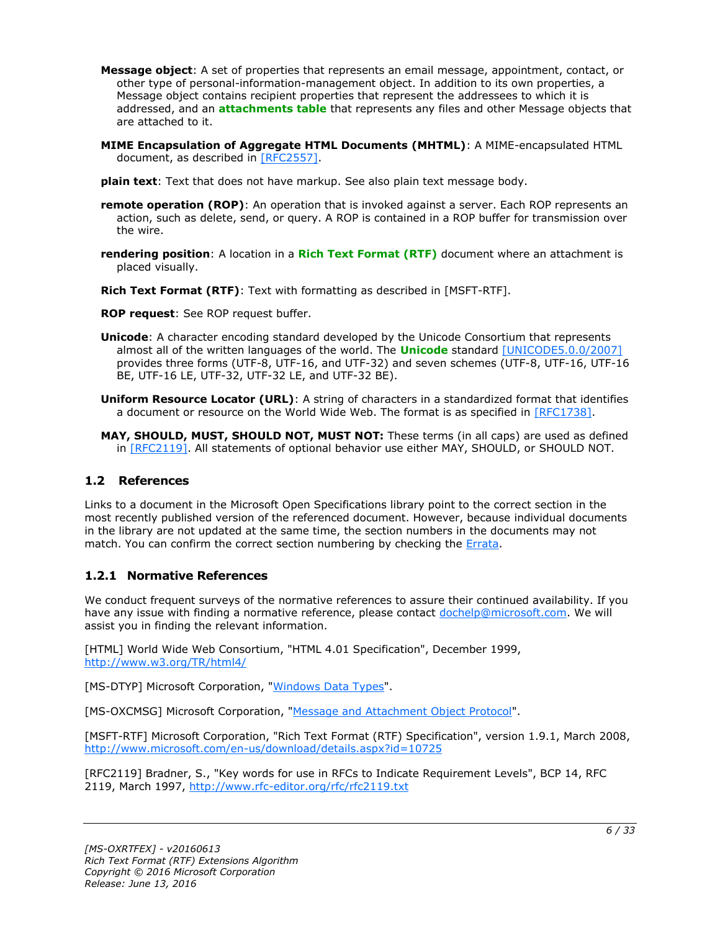- <span id="page-5-4"></span>**Message object**: A set of properties that represents an email message, appointment, contact, or other type of personal-information-management object. In addition to its own properties, a Message object contains recipient properties that represent the addressees to which it is addressed, and an **[attachments table](#page-4-3)** that represents any files and other Message objects that are attached to it.
- <span id="page-5-6"></span>**MIME Encapsulation of Aggregate HTML Documents (MHTML)**: A MIME-encapsulated HTML document, as described in [\[RFC2557\].](http://go.microsoft.com/fwlink/?LinkId=114258)
- <span id="page-5-3"></span>**plain text**: Text that does not have markup. See also plain text message body.
- <span id="page-5-9"></span>**remote operation (ROP)**: An operation that is invoked against a server. Each ROP represents an action, such as delete, send, or query. A ROP is contained in a ROP buffer for transmission over the wire.
- <span id="page-5-8"></span>**rendering position**: A location in a **[Rich Text Format \(RTF\)](#page-5-2)** document where an attachment is placed visually.
- <span id="page-5-2"></span>**Rich Text Format (RTF)**: Text with formatting as described in [MSFT-RTF].
- <span id="page-5-10"></span>**ROP request**: See ROP request buffer.
- <span id="page-5-5"></span>**Unicode**: A character encoding standard developed by the Unicode Consortium that represents almost all of the written languages of the world. The **[Unicode](#page-5-5)** standard [\[UNICODE5.0.0/2007\]](http://go.microsoft.com/fwlink/?LinkId=154659) provides three forms (UTF-8, UTF-16, and UTF-32) and seven schemes (UTF-8, UTF-16, UTF-16 BE, UTF-16 LE, UTF-32, UTF-32 LE, and UTF-32 BE).
- <span id="page-5-7"></span>**Uniform Resource Locator (URL)**: A string of characters in a standardized format that identifies a document or resource on the World Wide Web. The format is as specified in [\[RFC1738\].](http://go.microsoft.com/fwlink/?LinkId=90287)
- **MAY, SHOULD, MUST, SHOULD NOT, MUST NOT:** These terms (in all caps) are used as defined in [\[RFC2119\].](http://go.microsoft.com/fwlink/?LinkId=90317) All statements of optional behavior use either MAY, SHOULD, or SHOULD NOT.

#### <span id="page-5-0"></span>**1.2 References**

Links to a document in the Microsoft Open Specifications library point to the correct section in the most recently published version of the referenced document. However, because individual documents in the library are not updated at the same time, the section numbers in the documents may not match. You can confirm the correct section numbering by checking the **Errata**.

#### <span id="page-5-1"></span>**1.2.1 Normative References**

We conduct frequent surveys of the normative references to assure their continued availability. If you have any issue with finding a normative reference, please contact [dochelp@microsoft.com.](mailto:dochelp@microsoft.com) We will assist you in finding the relevant information.

[HTML] World Wide Web Consortium, "HTML 4.01 Specification", December 1999, [http://www.w3.org/TR/html4/](http://go.microsoft.com/fwlink/?LinkId=89880)

[MS-DTYP] Microsoft Corporation, ["Windows Data Types"](%5bMS-DTYP%5d.pdf#Section_cca2742956894a16b2b49325d93e4ba2).

[MS-OXCMSG] Microsoft Corporation, ["Message and Attachment Object Protocol"](%5bMS-OXCMSG%5d.pdf#Section_7fd7ec40deec4c0694931bc06b349682).

[MSFT-RTF] Microsoft Corporation, "Rich Text Format (RTF) Specification", version 1.9.1, March 2008, [http://www.microsoft.com/en-us/download/details.aspx?id=10725](http://go.microsoft.com/fwlink/?LinkId=120924)

[RFC2119] Bradner, S., "Key words for use in RFCs to Indicate Requirement Levels", BCP 14, RFC 2119, March 1997, [http://www.rfc-editor.org/rfc/rfc2119.txt](http://go.microsoft.com/fwlink/?LinkId=90317)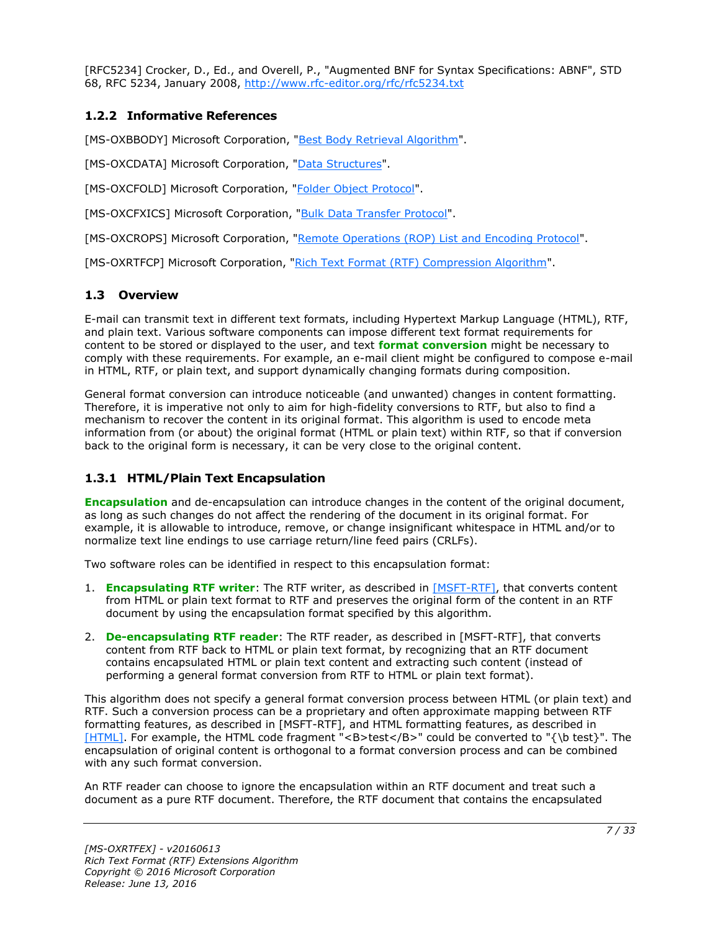[RFC5234] Crocker, D., Ed., and Overell, P., "Augmented BNF for Syntax Specifications: ABNF", STD 68, RFC 5234, January 2008, [http://www.rfc-editor.org/rfc/rfc5234.txt](http://go.microsoft.com/fwlink/?LinkId=123096)

#### <span id="page-6-0"></span>**1.2.2 Informative References**

[MS-OXBBODY] Microsoft Corporation, ["Best Body Retrieval Algorithm"](%5bMS-OXBBODY%5d.pdf#Section_98296160746e4b258d45676dabebb57d).

[MS-OXCDATA] Microsoft Corporation, ["Data Structures"](%5bMS-OXCDATA%5d.pdf#Section_1afa0cd9b1a04520b623bf15030af5d8).

[MS-OXCFOLD] Microsoft Corporation, ["Folder Object Protocol"](%5bMS-OXCFOLD%5d.pdf#Section_c0f31b95c07f486c98d9535ed9705fbf).

[MS-OXCFXICS] Microsoft Corporation, ["Bulk Data Transfer Protocol"](%5bMS-OXCFXICS%5d.pdf#Section_b9752f3dd50d44b89e6b608a117c8532).

[MS-OXCROPS] Microsoft Corporation, ["Remote Operations \(ROP\) List and Encoding Protocol"](%5bMS-OXCROPS%5d.pdf#Section_13af691127e54aa0bb75637b02d4f2ef).

[MS-OXRTFCP] Microsoft Corporation, ["Rich Text Format \(RTF\) Compression Algorithm"](%5bMS-OXRTFCP%5d.pdf#Section_65dfe2df1b6943fc8ebd21819a7463fb).

#### <span id="page-6-1"></span>**1.3 Overview**

E-mail can transmit text in different text formats, including Hypertext Markup Language (HTML), RTF, and plain text. Various software components can impose different text format requirements for content to be stored or displayed to the user, and text **[format conversion](#page-4-7)** might be necessary to comply with these requirements. For example, an e-mail client might be configured to compose e-mail in HTML, RTF, or plain text, and support dynamically changing formats during composition.

General format conversion can introduce noticeable (and unwanted) changes in content formatting. Therefore, it is imperative not only to aim for high-fidelity conversions to RTF, but also to find a mechanism to recover the content in its original format. This algorithm is used to encode meta information from (or about) the original format (HTML or plain text) within RTF, so that if conversion back to the original form is necessary, it can be very close to the original content.

#### <span id="page-6-2"></span>**1.3.1 HTML/Plain Text Encapsulation**

**[Encapsulation](#page-4-8)** and de-encapsulation can introduce changes in the content of the original document, as long as such changes do not affect the rendering of the document in its original format. For example, it is allowable to introduce, remove, or change insignificant whitespace in HTML and/or to normalize text line endings to use carriage return/line feed pairs (CRLFs).

Two software roles can be identified in respect to this encapsulation format:

- 1. **[Encapsulating RTF writer](#page-4-9)**: The RTF writer, as described in [\[MSFT-RTF\],](http://go.microsoft.com/fwlink/?LinkId=120924) that converts content from HTML or plain text format to RTF and preserves the original form of the content in an RTF document by using the encapsulation format specified by this algorithm.
- 2. **[De-encapsulating RTF reader](#page-4-10)**: The RTF reader, as described in [MSFT-RTF], that converts content from RTF back to HTML or plain text format, by recognizing that an RTF document contains encapsulated HTML or plain text content and extracting such content (instead of performing a general format conversion from RTF to HTML or plain text format).

This algorithm does not specify a general format conversion process between HTML (or plain text) and RTF. Such a conversion process can be a proprietary and often approximate mapping between RTF formatting features, as described in [MSFT-RTF], and HTML formatting features, as described in [\[HTML\].](http://go.microsoft.com/fwlink/?LinkId=89880) For example, the HTML code fragment "<B>test</B>" could be converted to "{\b test}". The encapsulation of original content is orthogonal to a format conversion process and can be combined with any such format conversion.

An RTF reader can choose to ignore the encapsulation within an RTF document and treat such a document as a pure RTF document. Therefore, the RTF document that contains the encapsulated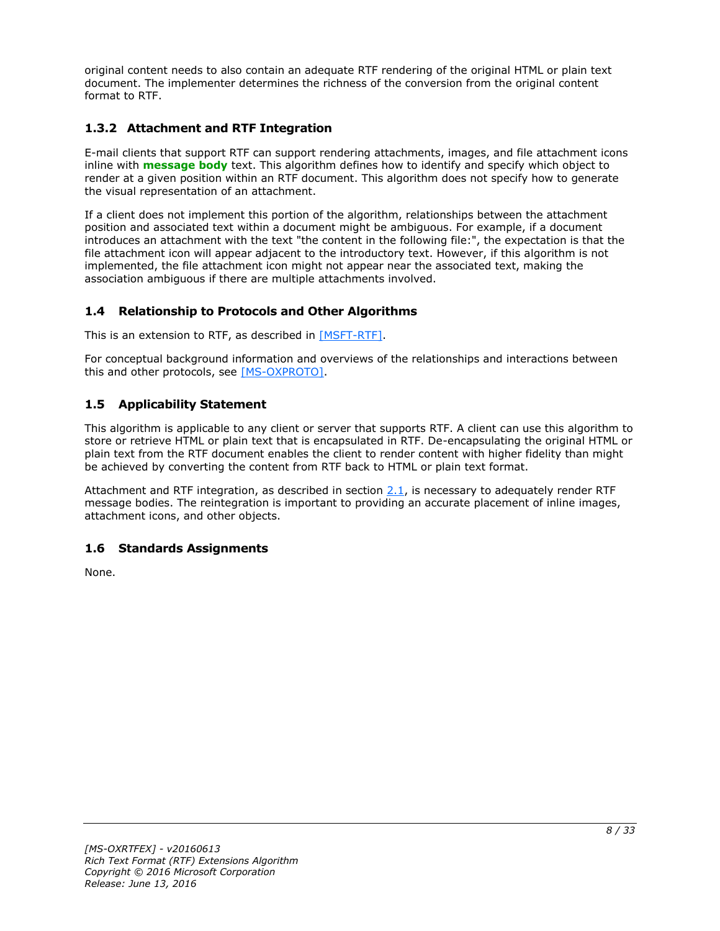original content needs to also contain an adequate RTF rendering of the original HTML or plain text document. The implementer determines the richness of the conversion from the original content format to RTF.

#### <span id="page-7-0"></span>**1.3.2 Attachment and RTF Integration**

E-mail clients that support RTF can support rendering attachments, images, and file attachment icons inline with **[message body](#page-4-11)** text. This algorithm defines how to identify and specify which object to render at a given position within an RTF document. This algorithm does not specify how to generate the visual representation of an attachment.

If a client does not implement this portion of the algorithm, relationships between the attachment position and associated text within a document might be ambiguous. For example, if a document introduces an attachment with the text "the content in the following file:", the expectation is that the file attachment icon will appear adjacent to the introductory text. However, if this algorithm is not implemented, the file attachment icon might not appear near the associated text, making the association ambiguous if there are multiple attachments involved.

#### <span id="page-7-1"></span>**1.4 Relationship to Protocols and Other Algorithms**

This is an extension to RTF, as described in [\[MSFT-RTF\].](http://go.microsoft.com/fwlink/?LinkId=120924)

For conceptual background information and overviews of the relationships and interactions between this and other protocols, see [\[MS-OXPROTO\].](%5bMS-OXPROTO%5d.pdf#Section_734ab967e43e425babe1974af56c0283)

#### <span id="page-7-2"></span>**1.5 Applicability Statement**

This algorithm is applicable to any client or server that supports RTF. A client can use this algorithm to store or retrieve HTML or plain text that is encapsulated in RTF. De-encapsulating the original HTML or plain text from the RTF document enables the client to render content with higher fidelity than might be achieved by converting the content from RTF back to HTML or plain text format.

Attachment and RTF integration, as described in section  $2.1$ , is necessary to adequately render RTF message bodies. The reintegration is important to providing an accurate placement of inline images, attachment icons, and other objects.

#### <span id="page-7-3"></span>**1.6 Standards Assignments**

None.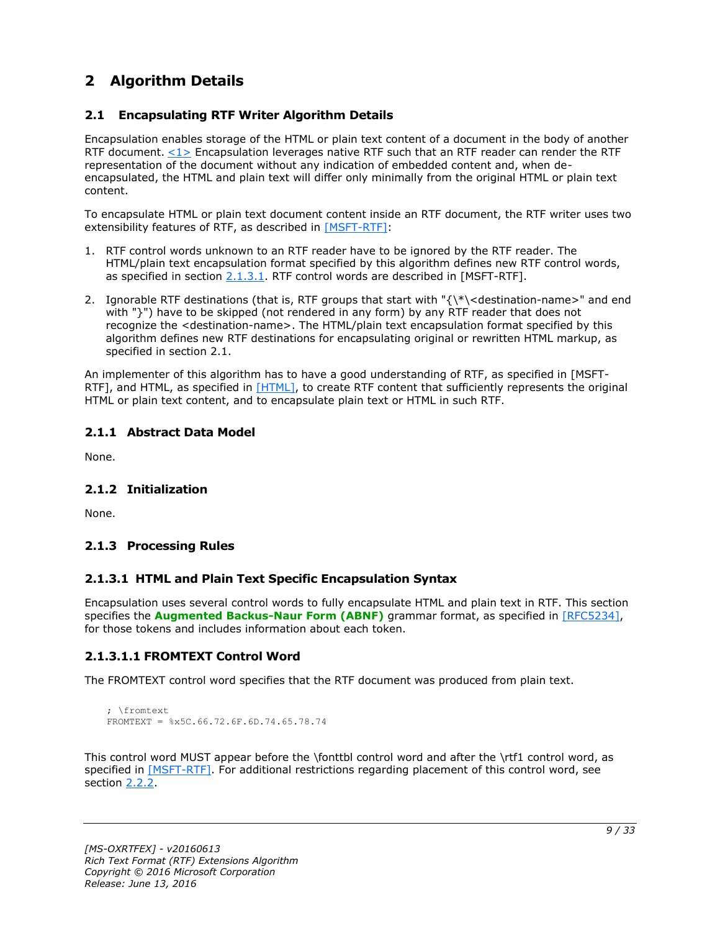## <span id="page-8-0"></span>**2 Algorithm Details**

#### <span id="page-8-1"></span>**2.1 Encapsulating RTF Writer Algorithm Details**

<span id="page-8-7"></span>Encapsulation enables storage of the HTML or plain text content of a document in the body of another RTF document. [<1>](#page-29-1) Encapsulation leverages native RTF such that an RTF reader can render the RTF representation of the document without any indication of embedded content and, when deencapsulated, the HTML and plain text will differ only minimally from the original HTML or plain text content.

To encapsulate HTML or plain text document content inside an RTF document, the RTF writer uses two extensibility features of RTF, as described in [\[MSFT-RTF\]:](http://go.microsoft.com/fwlink/?LinkId=120924)

- 1. RTF control words unknown to an RTF reader have to be ignored by the RTF reader. The HTML/plain text encapsulation format specified by this algorithm defines new RTF control words, as specified in section  $2.1.3.1$ . RTF control words are described in [MSFT-RTF].
- 2. Ignorable RTF destinations (that is, RTF groups that start with "{\\*\<destination-name>" and end with "}") have to be skipped (not rendered in any form) by any RTF reader that does not recognize the <destination-name>. The HTML/plain text encapsulation format specified by this algorithm defines new RTF destinations for encapsulating original or rewritten HTML markup, as specified in section 2.1.

An implementer of this algorithm has to have a good understanding of RTF, as specified in [MSFT-RTF], and HTML, as specified in [\[HTML\],](http://go.microsoft.com/fwlink/?LinkId=89880) to create RTF content that sufficiently represents the original HTML or plain text content, and to encapsulate plain text or HTML in such RTF.

#### <span id="page-8-2"></span>**2.1.1 Abstract Data Model**

None.

#### <span id="page-8-3"></span>**2.1.2 Initialization**

None.

#### <span id="page-8-4"></span>**2.1.3 Processing Rules**

#### <span id="page-8-5"></span>**2.1.3.1 HTML and Plain Text Specific Encapsulation Syntax**

Encapsulation uses several control words to fully encapsulate HTML and plain text in RTF. This section specifies the **[Augmented Backus-Naur Form \(ABNF\)](#page-4-12)** grammar format, as specified in [\[RFC5234\],](http://go.microsoft.com/fwlink/?LinkId=123096) for those tokens and includes information about each token.

#### <span id="page-8-6"></span>**2.1.3.1.1 FROMTEXT Control Word**

The FROMTEXT control word specifies that the RTF document was produced from plain text.

```
; \fromtext
FROMTEXT = %x5C.66.72.6F.6D.74.65.78.74
```
This control word MUST appear before the \fonttbl control word and after the \rtf1 control word, as specified in [\[MSFT-RTF\].](http://go.microsoft.com/fwlink/?LinkId=120924) For additional restrictions regarding placement of this control word, see section [2.2.2.](#page-14-2)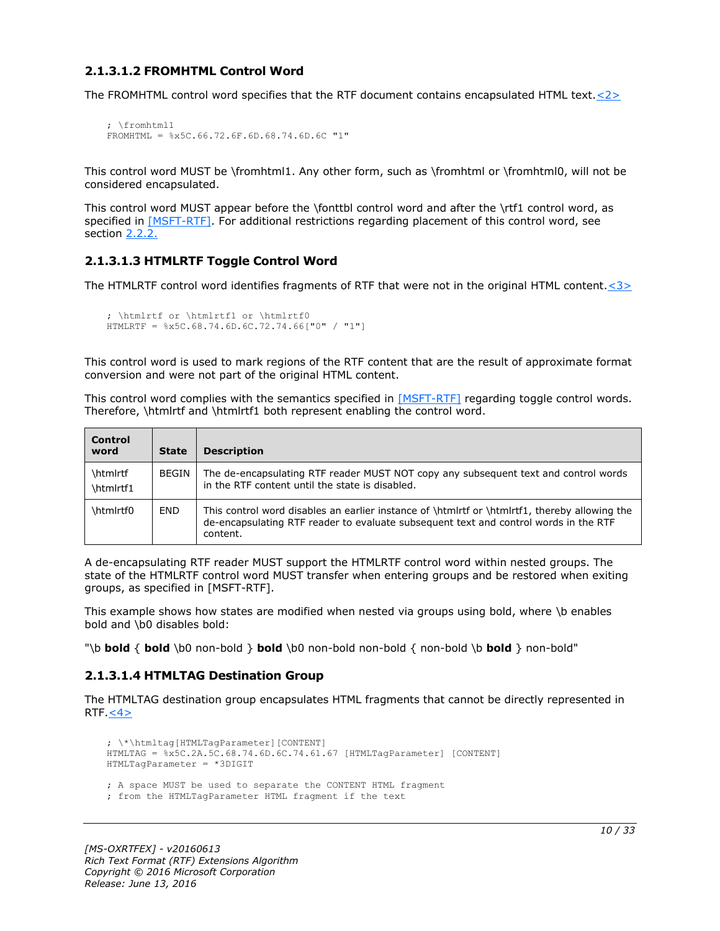#### <span id="page-9-0"></span>**2.1.3.1.2 FROMHTML Control Word**

The FROMHTML control word specifies that the RTF document contains encapsulated HTML text. $\langle 2 \rangle$ 

```
; \fromhtml1
FROMHTML = %x5C.66.72.6F.6D.68.74.6D.6C "1"
```
This control word MUST be \fromhtml1. Any other form, such as \fromhtml or \fromhtml0, will not be considered encapsulated.

This control word MUST appear before the \fonttbl control word and after the \rtf1 control word, as specified in [\[MSFT-RTF\].](http://go.microsoft.com/fwlink/?LinkId=120924) For additional restrictions regarding placement of this control word, see section [2.2.2.](#page-14-2)

#### <span id="page-9-1"></span>**2.1.3.1.3 HTMLRTF Toggle Control Word**

The HTMLRTF control word identifies fragments of RTF that were not in the original HTML content. $<$ 3>

```
; \htmlrtf or \htmlrtf1 or \htmlrtf0
HTMLRTF = %x5C.68.74.6D.6C.72.74.66["0" / "1"]
```
This control word is used to mark regions of the RTF content that are the result of approximate format conversion and were not part of the original HTML content.

This control word complies with the semantics specified in [\[MSFT-RTF\]](http://go.microsoft.com/fwlink/?LinkId=120924) regarding toggle control words. Therefore, \htmlrtf and \htmlrtf1 both represent enabling the control word.

| <b>Control</b><br>word | State      | <b>Description</b>                                                                                                                                                                                |
|------------------------|------------|---------------------------------------------------------------------------------------------------------------------------------------------------------------------------------------------------|
| \htmlrtf<br>\htmlrtf1  | BEGIN      | The de-encapsulating RTF reader MUST NOT copy any subsequent text and control words<br>in the RTF content until the state is disabled.                                                            |
| \htmlrtf0              | <b>END</b> | This control word disables an earlier instance of \htmlrtf or \htmlrtf1, thereby allowing the<br>de-encapsulating RTF reader to evaluate subsequent text and control words in the RTF<br>content. |

A de-encapsulating RTF reader MUST support the HTMLRTF control word within nested groups. The state of the HTMLRTF control word MUST transfer when entering groups and be restored when exiting groups, as specified in [MSFT-RTF].

This example shows how states are modified when nested via groups using bold, where \b enables bold and \b0 disables bold:

"\b **bold** { **bold** \b0 non-bold } **bold** \b0 non-bold non-bold { non-bold \b **bold** } non-bold"

#### <span id="page-9-2"></span>**2.1.3.1.4 HTMLTAG Destination Group**

<span id="page-9-5"></span>The HTMLTAG destination group encapsulates HTML fragments that cannot be directly represented in RTF $.42$ 

```
; \*\htmltag[HTMLTagParameter][CONTENT]
HTMLTAG = %x5C.2A.5C.68.74.6D.6C.74.61.67 [HTMLTagParameter] [CONTENT]
HTMLTagParameter = *3DIGIT
; A space MUST be used to separate the CONTENT HTML fragment 
; from the HTMLTagParameter HTML fragment if the text
```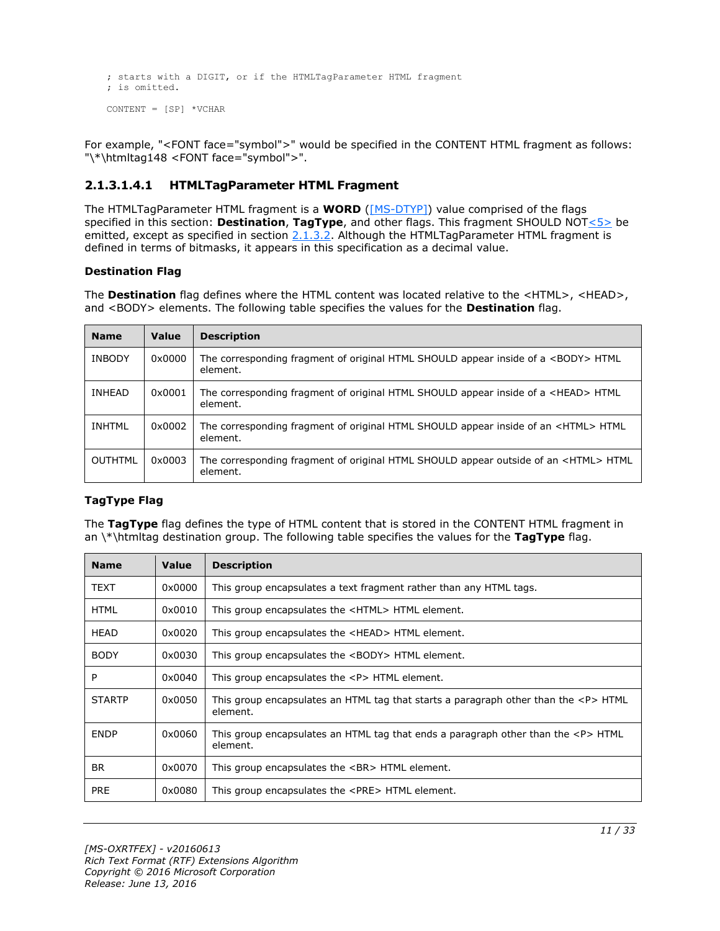```
; starts with a DIGIT, or if the HTMLTagParameter HTML fragment 
; is omitted.
CONTENT = [SP] * VCHAR
```
For example, "<FONT face="symbol">" would be specified in the CONTENT HTML fragment as follows: "\\*\htmltag148 <FONT face="symbol">".

#### <span id="page-10-0"></span>**2.1.3.1.4.1 HTMLTagParameter HTML Fragment**

<span id="page-10-1"></span>The HTMLTagParameter HTML fragment is a **WORD** [\(\[MS-DTYP\]\)](%5bMS-DTYP%5d.pdf#Section_cca2742956894a16b2b49325d93e4ba2) value comprised of the flags specified in this section: **Destination**, **TagType**, and other flags. This fragment SHOULD NO[T<5>](#page-29-5) be emitted, except as specified in section [2.1.3.2.](#page-13-0) Although the HTMLTagParameter HTML fragment is defined in terms of bitmasks, it appears in this specification as a decimal value.

#### **Destination Flag**

The **Destination** flag defines where the HTML content was located relative to the <HTML>, <HEAD>, and <BODY> elements. The following table specifies the values for the **Destination** flag.

| <b>Name</b>    | Value  | <b>Description</b>                                                                                      |
|----------------|--------|---------------------------------------------------------------------------------------------------------|
| <b>INBODY</b>  | 0x0000 | The corresponding fragment of original HTML SHOULD appear inside of a <body> HTML<br/>element.</body>   |
| INHEAD         | 0x0001 | The corresponding fragment of original HTML SHOULD appear inside of a <head> HTML<br/>element.</head>   |
| <b>INHTML</b>  | 0x0002 | The corresponding fragment of original HTML SHOULD appear inside of an <html>HTML<br/>element.</html>   |
| <b>OUTHTML</b> | 0x0003 | The corresponding fragment of original HTML SHOULD appear outside of an <html> HTML<br/>element.</html> |

#### **TagType Flag**

The **TagType** flag defines the type of HTML content that is stored in the CONTENT HTML fragment in an \\*\htmltag destination group. The following table specifies the values for the **TagType** flag.

| <b>Name</b>   | <b>Value</b> | Description                                                                                                     |
|---------------|--------------|-----------------------------------------------------------------------------------------------------------------|
| <b>TEXT</b>   | 0x0000       | This group encapsulates a text fragment rather than any HTML tags.                                              |
| <b>HTML</b>   | 0x0010       | This group encapsulates the <html> HTML element.</html>                                                         |
| <b>HEAD</b>   | 0x0020       | This group encapsulates the <head> HTML element.</head>                                                         |
| <b>BODY</b>   | 0x0030       | This group encapsulates the <body> HTML element.</body>                                                         |
| P             | 0x0040       | This group encapsulates the $\langle P \rangle$ HTML element.                                                   |
| <b>STARTP</b> | 0x0050       | This group encapsulates an HTML tag that starts a paragraph other than the $\langle P \rangle$ HTML<br>element. |
| <b>ENDP</b>   | 0x0060       | This group encapsulates an HTML tag that ends a paragraph other than the $\langle P \rangle$ HTML<br>element.   |
| BR.           | 0x0070       | This group encapsulates the<br>HTML element.                                                                    |
| <b>PRE</b>    | 0x0080       | This group encapsulates the <pre> HTML element.</pre>                                                           |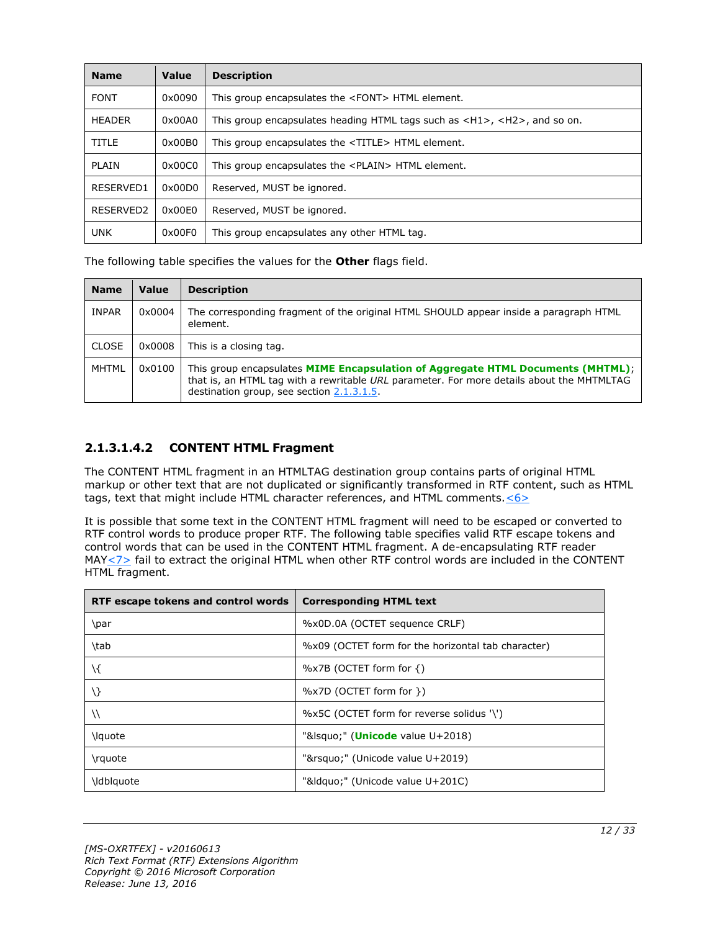| <b>Name</b>   | Value            | <b>Description</b>                                                                                         |
|---------------|------------------|------------------------------------------------------------------------------------------------------------|
| <b>FONT</b>   | 0x0090           | This group encapsulates the <font> HTML element.</font>                                                    |
| <b>HEADER</b> | 0x00A0           | This group encapsulates heading HTML tags such as $\langle H1 \rangle$ , $\langle H2 \rangle$ , and so on. |
| <b>TITLE</b>  | 0x00B0           | This group encapsulates the <title> HTML element.</title>                                                  |
| <b>PLAIN</b>  | 0x00C0           | This group encapsulates the <plain> HTML element.</plain>                                                  |
| RESERVED1     | $0 \times 00$ DO | Reserved, MUST be ignored.                                                                                 |
| RESERVED2     | 0x00E0           | Reserved, MUST be ignored.                                                                                 |
| <b>UNK</b>    | 0x00F0           | This group encapsulates any other HTML tag.                                                                |

The following table specifies the values for the **Other** flags field.

| <b>Name</b>  | Value  | <b>Description</b>                                                                                                                                                                                                        |
|--------------|--------|---------------------------------------------------------------------------------------------------------------------------------------------------------------------------------------------------------------------------|
| <b>INPAR</b> | 0x0004 | The corresponding fragment of the original HTML SHOULD appear inside a paragraph HTML<br>element.                                                                                                                         |
| <b>CLOSE</b> | 0x0008 | This is a closing tag.                                                                                                                                                                                                    |
| <b>MHTML</b> | 0x0100 | This group encapsulates MIME Encapsulation of Aggregate HTML Documents (MHTML);<br>that is, an HTML tag with a rewritable URL parameter. For more details about the MHTMLTAG<br>destination group, see section 2.1.3.1.5. |

#### <span id="page-11-0"></span>**2.1.3.1.4.2 CONTENT HTML Fragment**

The CONTENT HTML fragment in an HTMLTAG destination group contains parts of original HTML markup or other text that are not duplicated or significantly transformed in RTF content, such as HTML tags, text that might include HTML character references, and HTML comments.  $6$ 

<span id="page-11-2"></span><span id="page-11-1"></span>It is possible that some text in the CONTENT HTML fragment will need to be escaped or converted to RTF control words to produce proper RTF. The following table specifies valid RTF escape tokens and control words that can be used in the CONTENT HTML fragment. A de-encapsulating RTF reader MAY $\leq$  7> fail to extract the original HTML when other RTF control words are included in the CONTENT HTML fragment.

| RTF escape tokens and control words | <b>Corresponding HTML text</b>                     |
|-------------------------------------|----------------------------------------------------|
| \par                                | %x0D.0A (OCTET sequence CRLF)                      |
| \tab                                | %x09 (OCTET form for the horizontal tab character) |
| $\setminus$                         | $\%$ x7B (OCTET form for {)                        |
| $\setminus$                         | %x7D (OCTET form for })                            |
|                                     | %x5C (OCTET form for reverse solidus '\')          |
| \lquote                             | "&Isquo" (Unicode value U+2018)                    |
| \rquote                             | "'" (Unicode value U+2019)                         |
| \ldblquote                          | "&Idquo" (Unicode value U+201C)                    |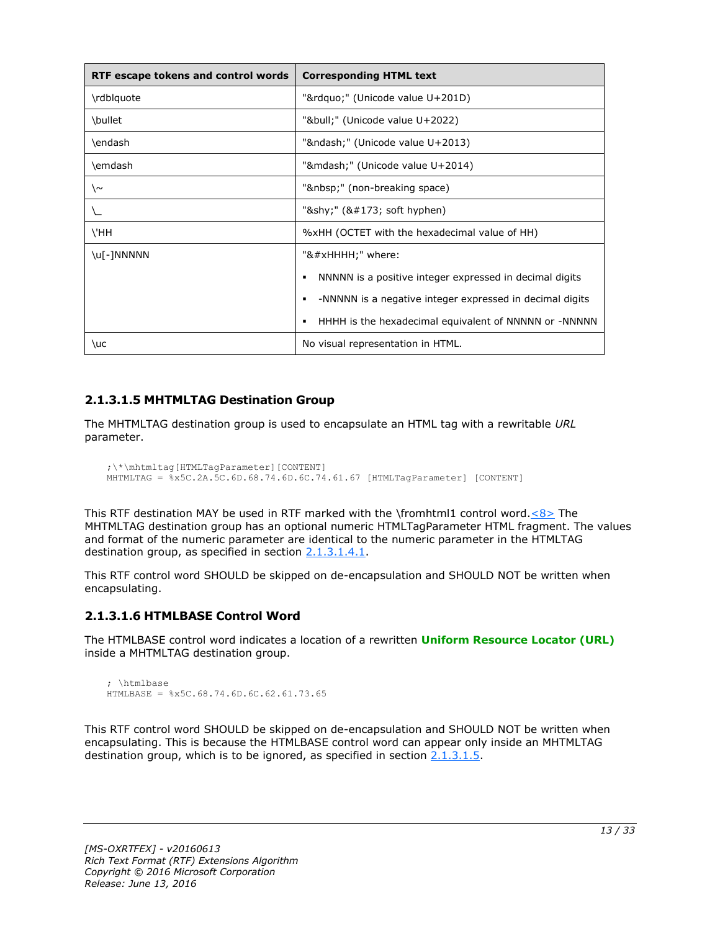| RTF escape tokens and control words | <b>Corresponding HTML text</b>                                |
|-------------------------------------|---------------------------------------------------------------|
| \rdblquote                          | """ (Unicode value U+201D)                                    |
| \bullet                             | "•" (Unicode value U+2022)                                    |
| \endash                             | "–" (Unicode value U+2013)                                    |
| \emdash                             | "—" (Unicode value U+2014)                                    |
| ∖∼                                  | " " (non-breaking space)                                      |
|                                     | "­" $($ & $\#$ 173; soft hyphen $)$                           |
| \'HH                                | %xHH (OCTET with the hexadecimal value of HH)                 |
| \u[-]NNNNN                          | "&#xHHHH;" where:                                             |
|                                     | NNNNN is a positive integer expressed in decimal digits<br>٠  |
|                                     | -NNNNN is a negative integer expressed in decimal digits<br>٠ |
|                                     | HHHH is the hexadecimal equivalent of NNNNN or -NNNNN<br>٠    |
| \uc                                 | No visual representation in HTML.                             |

#### <span id="page-12-0"></span>**2.1.3.1.5 MHTMLTAG Destination Group**

The MHTMLTAG destination group is used to encapsulate an HTML tag with a rewritable *URL* parameter.

```
;\*\mhtmltag[HTMLTagParameter][CONTENT]
MHTMLTAG = %x5C.2A.5C.6D.68.74.6D.6C.74.61.67 [HTMLTagParameter] [CONTENT]
```
This RTF destination MAY be used in RTF marked with the \fromhtml1 control word. $\leq 8$  The MHTMLTAG destination group has an optional numeric HTMLTagParameter HTML fragment. The values and format of the numeric parameter are identical to the numeric parameter in the HTMLTAG destination group, as specified in section [2.1.3.1.4.1.](#page-10-0)

This RTF control word SHOULD be skipped on de-encapsulation and SHOULD NOT be written when encapsulating.

#### <span id="page-12-1"></span>**2.1.3.1.6 HTMLBASE Control Word**

The HTMLBASE control word indicates a location of a rewritten **[Uniform Resource Locator \(URL\)](#page-5-7)** inside a MHTMLTAG destination group.

```
; \htmlbase
HTMLBASE = %x5C.68.74.6D.6C.62.61.73.65
```
This RTF control word SHOULD be skipped on de-encapsulation and SHOULD NOT be written when encapsulating. This is because the HTMLBASE control word can appear only inside an MHTMLTAG destination group, which is to be ignored, as specified in section  $2.1.3.1.5$ .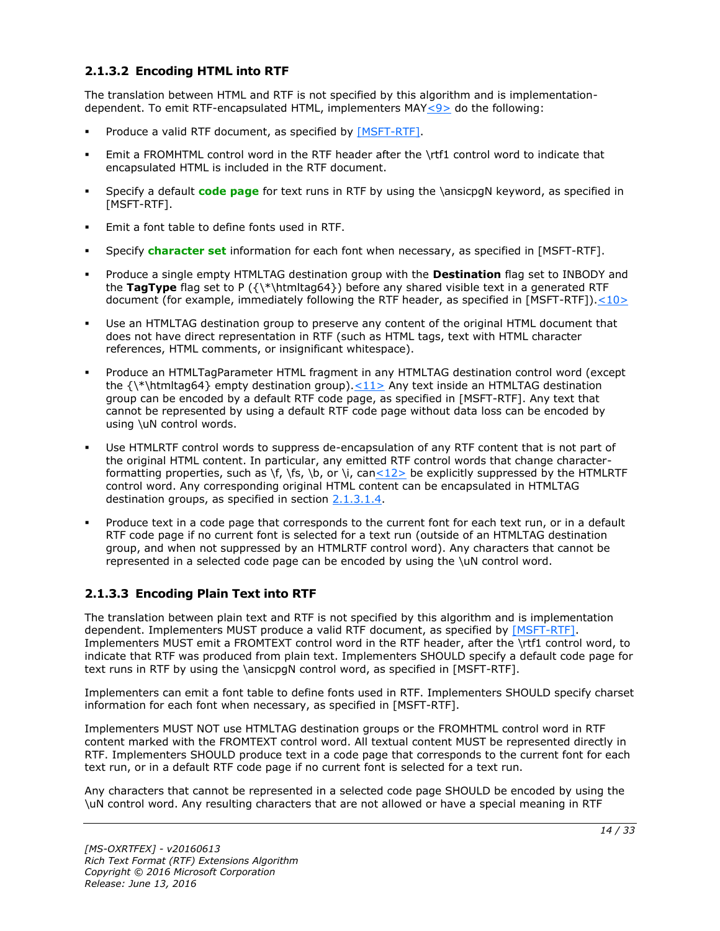#### <span id="page-13-0"></span>**2.1.3.2 Encoding HTML into RTF**

The translation between HTML and RTF is not specified by this algorithm and is implementationdependent. To emit RTF-encapsulated HTML, implementers MA[Y<9>](#page-30-1) do the following:

- <span id="page-13-2"></span>Produce a valid RTF document, as specified by [\[MSFT-RTF\].](http://go.microsoft.com/fwlink/?LinkId=120924)
- Emit a FROMHTML control word in the RTF header after the \rtf1 control word to indicate that encapsulated HTML is included in the RTF document.
- Specify a default **[code page](#page-4-6)** for text runs in RTF by using the \ansicpgN keyword, as specified in [MSFT-RTF].
- Emit a font table to define fonts used in RTF.
- Specify **[character set](#page-4-5)** information for each font when necessary, as specified in [MSFT-RTF].
- Produce a single empty HTMLTAG destination group with the **Destination** flag set to INBODY and the **TagType** flag set to P ({\\*\htmltag64}) before any shared visible text in a generated RTF document (for example, immediately following the RTF header, as specified in [MSFT-RTF])[.<10>](#page-30-2)
- <span id="page-13-3"></span> Use an HTMLTAG destination group to preserve any content of the original HTML document that does not have direct representation in RTF (such as HTML tags, text with HTML character references, HTML comments, or insignificant whitespace).
- <span id="page-13-4"></span> Produce an HTMLTagParameter HTML fragment in any HTMLTAG destination control word (except the  $\{\*$ htmltag64} empty destination group). $\leq 11$  Any text inside an HTMLTAG destination group can be encoded by a default RTF code page, as specified in [MSFT-RTF]. Any text that cannot be represented by using a default RTF code page without data loss can be encoded by using \uN control words.
- <span id="page-13-5"></span> Use HTMLRTF control words to suppress de-encapsulation of any RTF content that is not part of the original HTML content. In particular, any emitted RTF control words that change characterformatting properties, such as \f, \fs, \b, or \i, ca[n<12>](#page-30-4) be explicitly suppressed by the HTMLRTF control word. Any corresponding original HTML content can be encapsulated in HTMLTAG destination groups, as specified in section [2.1.3.1.4.](#page-9-2)
- Produce text in a code page that corresponds to the current font for each text run, or in a default RTF code page if no current font is selected for a text run (outside of an HTMLTAG destination group, and when not suppressed by an HTMLRTF control word). Any characters that cannot be represented in a selected code page can be encoded by using the \uN control word.

#### <span id="page-13-1"></span>**2.1.3.3 Encoding Plain Text into RTF**

The translation between plain text and RTF is not specified by this algorithm and is implementation dependent. Implementers MUST produce a valid RTF document, as specified by [\[MSFT-RTF\].](http://go.microsoft.com/fwlink/?LinkId=120924) Implementers MUST emit a FROMTEXT control word in the RTF header, after the \rtf1 control word, to indicate that RTF was produced from plain text. Implementers SHOULD specify a default code page for text runs in RTF by using the \ansicpgN control word, as specified in [MSFT-RTF].

Implementers can emit a font table to define fonts used in RTF. Implementers SHOULD specify charset information for each font when necessary, as specified in [MSFT-RTF].

Implementers MUST NOT use HTMLTAG destination groups or the FROMHTML control word in RTF content marked with the FROMTEXT control word. All textual content MUST be represented directly in RTF. Implementers SHOULD produce text in a code page that corresponds to the current font for each text run, or in a default RTF code page if no current font is selected for a text run.

Any characters that cannot be represented in a selected code page SHOULD be encoded by using the \uN control word. Any resulting characters that are not allowed or have a special meaning in RTF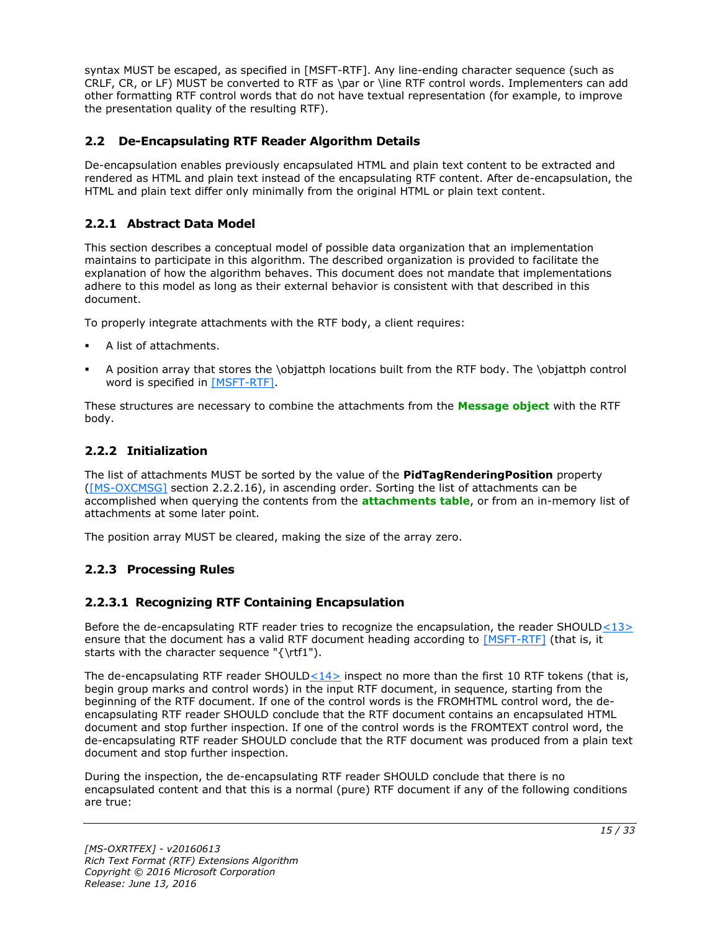syntax MUST be escaped, as specified in [MSFT-RTF]. Any line-ending character sequence (such as CRLF, CR, or LF) MUST be converted to RTF as \par or \line RTF control words. Implementers can add other formatting RTF control words that do not have textual representation (for example, to improve the presentation quality of the resulting RTF).

#### <span id="page-14-0"></span>**2.2 De-Encapsulating RTF Reader Algorithm Details**

De-encapsulation enables previously encapsulated HTML and plain text content to be extracted and rendered as HTML and plain text instead of the encapsulating RTF content. After de-encapsulation, the HTML and plain text differ only minimally from the original HTML or plain text content.

#### <span id="page-14-1"></span>**2.2.1 Abstract Data Model**

This section describes a conceptual model of possible data organization that an implementation maintains to participate in this algorithm. The described organization is provided to facilitate the explanation of how the algorithm behaves. This document does not mandate that implementations adhere to this model as long as their external behavior is consistent with that described in this document.

To properly integrate attachments with the RTF body, a client requires:

- A list of attachments.
- A position array that stores the \objattph locations built from the RTF body. The \objattph control word is specified in [\[MSFT-RTF\].](http://go.microsoft.com/fwlink/?LinkId=120924)

These structures are necessary to combine the attachments from the **[Message object](#page-5-4)** with the RTF body.

#### <span id="page-14-2"></span>**2.2.2 Initialization**

The list of attachments MUST be sorted by the value of the **PidTagRenderingPosition** property [\(\[MS-OXCMSG\]](%5bMS-OXCMSG%5d.pdf#Section_7fd7ec40deec4c0694931bc06b349682) section 2.2.2.16), in ascending order. Sorting the list of attachments can be accomplished when querying the contents from the **[attachments table](#page-4-3)**, or from an in-memory list of attachments at some later point.

The position array MUST be cleared, making the size of the array zero.

#### <span id="page-14-3"></span>**2.2.3 Processing Rules**

#### <span id="page-14-5"></span><span id="page-14-4"></span>**2.2.3.1 Recognizing RTF Containing Encapsulation**

Before the de-encapsulating RTF reader tries to recognize the encapsulation, the reader SHOULD $<$ 13 $>$ ensure that the document has a valid RTF document heading according to [\[MSFT-RTF\]](http://go.microsoft.com/fwlink/?LinkId=120924) (that is, it starts with the character sequence "{\rtf1").

<span id="page-14-6"></span>The de-encapsulating RTF reader SHOUL[D<14>](#page-30-6) inspect no more than the first 10 RTF tokens (that is, begin group marks and control words) in the input RTF document, in sequence, starting from the beginning of the RTF document. If one of the control words is the FROMHTML control word, the deencapsulating RTF reader SHOULD conclude that the RTF document contains an encapsulated HTML document and stop further inspection. If one of the control words is the FROMTEXT control word, the de-encapsulating RTF reader SHOULD conclude that the RTF document was produced from a plain text document and stop further inspection.

During the inspection, the de-encapsulating RTF reader SHOULD conclude that there is no encapsulated content and that this is a normal (pure) RTF document if any of the following conditions are true: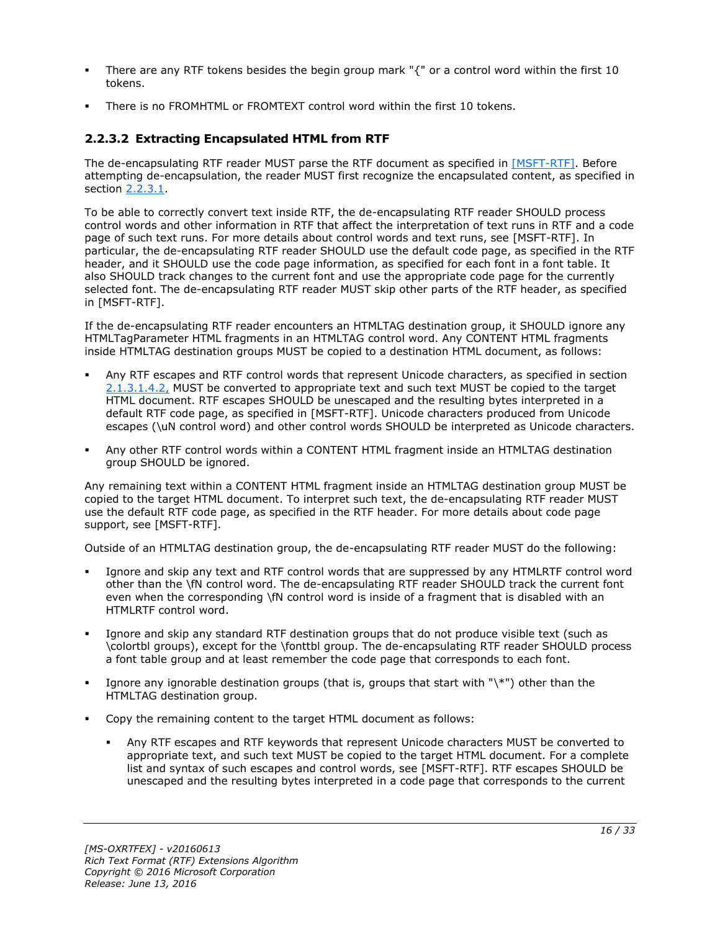- There are any RTF tokens besides the begin group mark "{" or a control word within the first 10 tokens.
- There is no FROMHTML or FROMTEXT control word within the first 10 tokens.

#### <span id="page-15-0"></span>**2.2.3.2 Extracting Encapsulated HTML from RTF**

The de-encapsulating RTF reader MUST parse the RTF document as specified in [\[MSFT-RTF\].](http://go.microsoft.com/fwlink/?LinkId=120924) Before attempting de-encapsulation, the reader MUST first recognize the encapsulated content, as specified in section [2.2.3.1.](#page-14-4)

To be able to correctly convert text inside RTF, the de-encapsulating RTF reader SHOULD process control words and other information in RTF that affect the interpretation of text runs in RTF and a code page of such text runs. For more details about control words and text runs, see [MSFT-RTF]. In particular, the de-encapsulating RTF reader SHOULD use the default code page, as specified in the RTF header, and it SHOULD use the code page information, as specified for each font in a font table. It also SHOULD track changes to the current font and use the appropriate code page for the currently selected font. The de-encapsulating RTF reader MUST skip other parts of the RTF header, as specified in [MSFT-RTF].

If the de-encapsulating RTF reader encounters an HTMLTAG destination group, it SHOULD ignore any HTMLTagParameter HTML fragments in an HTMLTAG control word. Any CONTENT HTML fragments inside HTMLTAG destination groups MUST be copied to a destination HTML document, as follows:

- Any RTF escapes and RTF control words that represent Unicode characters, as specified in section [2.1.3.1.4.2,](#page-11-0) MUST be converted to appropriate text and such text MUST be copied to the target HTML document. RTF escapes SHOULD be unescaped and the resulting bytes interpreted in a default RTF code page, as specified in [MSFT-RTF]. Unicode characters produced from Unicode escapes (\uN control word) and other control words SHOULD be interpreted as Unicode characters.
- Any other RTF control words within a CONTENT HTML fragment inside an HTMLTAG destination group SHOULD be ignored.

Any remaining text within a CONTENT HTML fragment inside an HTMLTAG destination group MUST be copied to the target HTML document. To interpret such text, the de-encapsulating RTF reader MUST use the default RTF code page, as specified in the RTF header. For more details about code page support, see [MSFT-RTF].

Outside of an HTMLTAG destination group, the de-encapsulating RTF reader MUST do the following:

- Ignore and skip any text and RTF control words that are suppressed by any HTMLRTF control word other than the \fN control word. The de-encapsulating RTF reader SHOULD track the current font even when the corresponding \fN control word is inside of a fragment that is disabled with an HTMLRTF control word.
- Ignore and skip any standard RTF destination groups that do not produce visible text (such as \colortbl groups), except for the \fonttbl group. The de-encapsulating RTF reader SHOULD process a font table group and at least remember the code page that corresponds to each font.
- Ignore any ignorable destination groups (that is, groups that start with "\\*") other than the HTMLTAG destination group.
- Copy the remaining content to the target HTML document as follows:
	- Any RTF escapes and RTF keywords that represent Unicode characters MUST be converted to appropriate text, and such text MUST be copied to the target HTML document. For a complete list and syntax of such escapes and control words, see [MSFT-RTF]. RTF escapes SHOULD be unescaped and the resulting bytes interpreted in a code page that corresponds to the current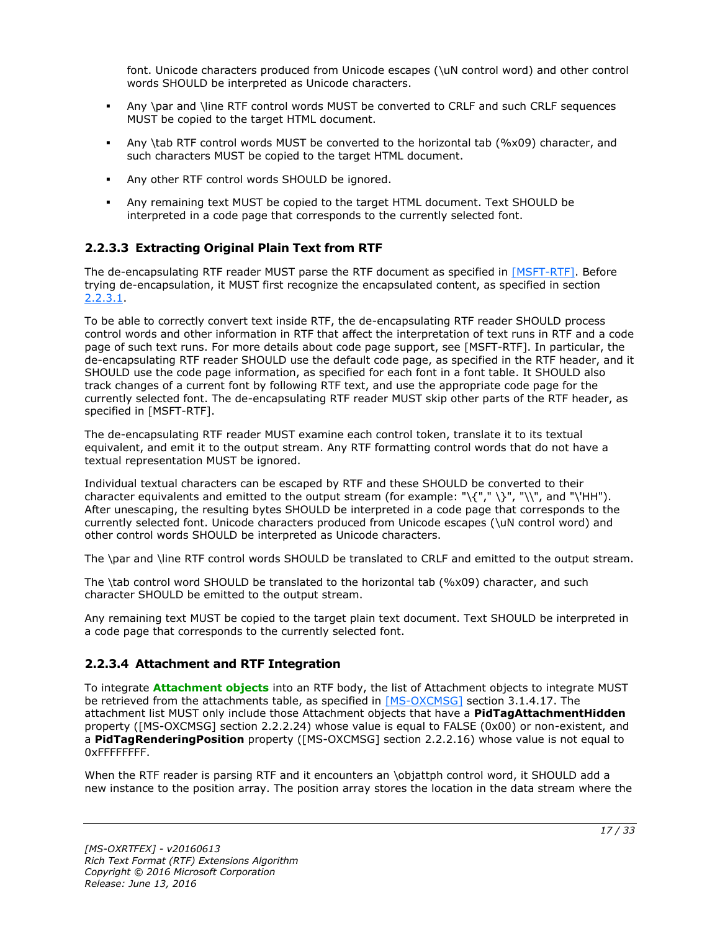font. Unicode characters produced from Unicode escapes (\uN control word) and other control words SHOULD be interpreted as Unicode characters.

- Any \par and \line RTF control words MUST be converted to CRLF and such CRLF sequences MUST be copied to the target HTML document.
- Any \tab RTF control words MUST be converted to the horizontal tab (%x09) character, and such characters MUST be copied to the target HTML document.
- Any other RTF control words SHOULD be ignored.
- Any remaining text MUST be copied to the target HTML document. Text SHOULD be interpreted in a code page that corresponds to the currently selected font.

#### <span id="page-16-0"></span>**2.2.3.3 Extracting Original Plain Text from RTF**

The de-encapsulating RTF reader MUST parse the RTF document as specified in [\[MSFT-RTF\].](http://go.microsoft.com/fwlink/?LinkId=120924) Before trying de-encapsulation, it MUST first recognize the encapsulated content, as specified in section [2.2.3.1.](#page-14-4)

To be able to correctly convert text inside RTF, the de-encapsulating RTF reader SHOULD process control words and other information in RTF that affect the interpretation of text runs in RTF and a code page of such text runs. For more details about code page support, see [MSFT-RTF]. In particular, the de-encapsulating RTF reader SHOULD use the default code page, as specified in the RTF header, and it SHOULD use the code page information, as specified for each font in a font table. It SHOULD also track changes of a current font by following RTF text, and use the appropriate code page for the currently selected font. The de-encapsulating RTF reader MUST skip other parts of the RTF header, as specified in [MSFT-RTF].

The de-encapsulating RTF reader MUST examine each control token, translate it to its textual equivalent, and emit it to the output stream. Any RTF formatting control words that do not have a textual representation MUST be ignored.

Individual textual characters can be escaped by RTF and these SHOULD be converted to their character equivalents and emitted to the output stream (for example: "\{"," \}", "\\", and "\'HH"). After unescaping, the resulting bytes SHOULD be interpreted in a code page that corresponds to the currently selected font. Unicode characters produced from Unicode escapes (\uN control word) and other control words SHOULD be interpreted as Unicode characters.

The \par and \line RTF control words SHOULD be translated to CRLF and emitted to the output stream.

The \tab control word SHOULD be translated to the horizontal tab (%x09) character, and such character SHOULD be emitted to the output stream.

Any remaining text MUST be copied to the target plain text document. Text SHOULD be interpreted in a code page that corresponds to the currently selected font.

#### <span id="page-16-1"></span>**2.2.3.4 Attachment and RTF Integration**

To integrate **[Attachment objects](#page-4-4)** into an RTF body, the list of Attachment objects to integrate MUST be retrieved from the attachments table, as specified in [\[MS-OXCMSG\]](%5bMS-OXCMSG%5d.pdf#Section_7fd7ec40deec4c0694931bc06b349682) section 3.1.4.17. The attachment list MUST only include those Attachment objects that have a **PidTagAttachmentHidden**  property ([MS-OXCMSG] section 2.2.2.24) whose value is equal to FALSE (0x00) or non-existent, and a **PidTagRenderingPosition** property ([MS-OXCMSG] section 2.2.2.16) whose value is not equal to 0xFFFFFFFF.

When the RTF reader is parsing RTF and it encounters an \objattph control word, it SHOULD add a new instance to the position array. The position array stores the location in the data stream where the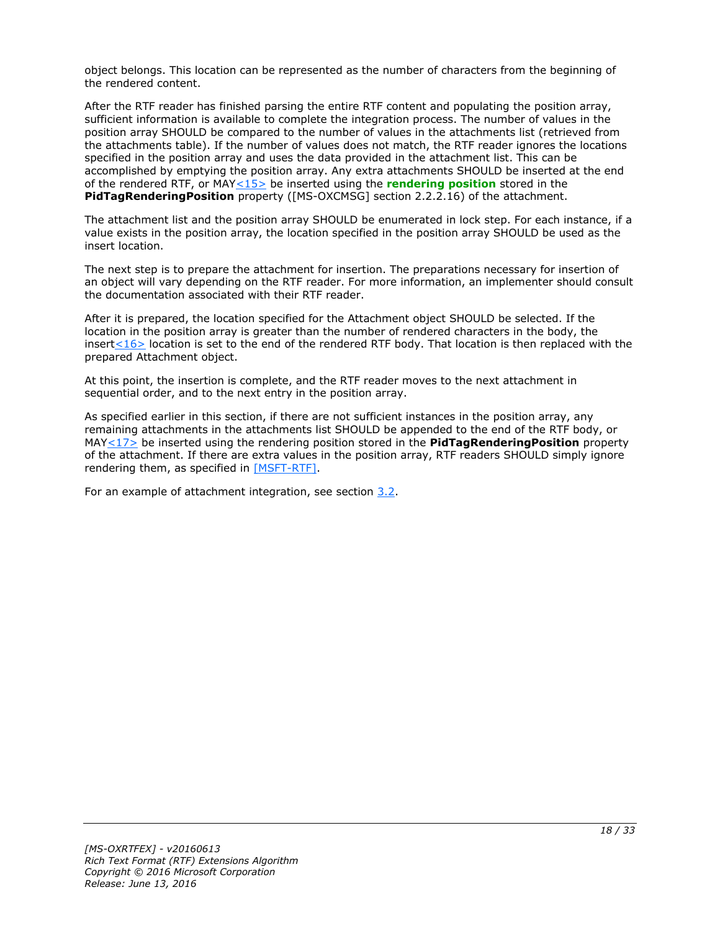object belongs. This location can be represented as the number of characters from the beginning of the rendered content.

After the RTF reader has finished parsing the entire RTF content and populating the position array, sufficient information is available to complete the integration process. The number of values in the position array SHOULD be compared to the number of values in the attachments list (retrieved from the attachments table). If the number of values does not match, the RTF reader ignores the locations specified in the position array and uses the data provided in the attachment list. This can be accomplished by emptying the position array. Any extra attachments SHOULD be inserted at the end of the rendered RTF, or MA[Y<15>](#page-30-7) be inserted using the **[rendering position](#page-5-8)** stored in the **PidTagRenderingPosition** property ([MS-OXCMSG] section 2.2.2.16) of the attachment.

<span id="page-17-0"></span>The attachment list and the position array SHOULD be enumerated in lock step. For each instance, if a value exists in the position array, the location specified in the position array SHOULD be used as the insert location.

The next step is to prepare the attachment for insertion. The preparations necessary for insertion of an object will vary depending on the RTF reader. For more information, an implementer should consult the documentation associated with their RTF reader.

<span id="page-17-1"></span>After it is prepared, the location specified for the Attachment object SHOULD be selected. If the location in the position array is greater than the number of rendered characters in the body, the insert  $\leq$  16 > location is set to the end of the rendered RTF body. That location is then replaced with the prepared Attachment object.

At this point, the insertion is complete, and the RTF reader moves to the next attachment in sequential order, and to the next entry in the position array.

<span id="page-17-2"></span>As specified earlier in this section, if there are not sufficient instances in the position array, any remaining attachments in the attachments list SHOULD be appended to the end of the RTF body, or MA[Y<17>](#page-30-9) be inserted using the rendering position stored in the **PidTagRenderingPosition** property of the attachment. If there are extra values in the position array, RTF readers SHOULD simply ignore rendering them, as specified in [\[MSFT-RTF\].](http://go.microsoft.com/fwlink/?LinkId=120924)

For an example of attachment integration, see section [3.2.](#page-19-0)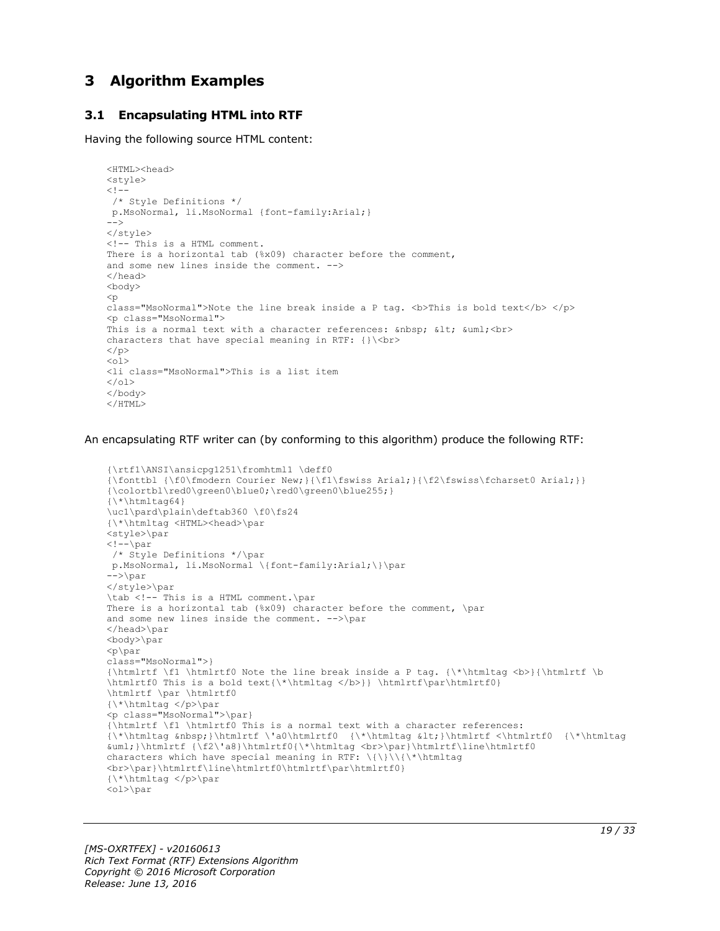### <span id="page-18-0"></span>**3 Algorithm Examples**

#### <span id="page-18-1"></span>**3.1 Encapsulating HTML into RTF**

Having the following source HTML content:

```
<HTML><head>
<style>
<! --/* Style Definitions */
p.MsoNormal, li.MsoNormal {font-family:Arial;}
-->
</style>
<!-- This is a HTML comment.
There is a horizontal tab (%x09) character before the comment,
and some new lines inside the comment. -->
</head>
<body>
\langle p \rangleclass="MsoNormal">Note the line break inside a P tag. <br/> \langle \rangle>> bold text</b> </p>
<p class="MsoNormal">
This is a normal text with a character references: \deltanbsp; \deltalt; \deltauml; \deltabr>
characters that have special meaning in RTF: {}\<br>
\langle/p>
\langle 0l >
<li class="MsoNormal">This is a list item
\langleol>
</body>
</HTML>
```
An encapsulating RTF writer can (by conforming to this algorithm) produce the following RTF:

```
{\rtf1\ANSI\ansicpg1251\fromhtml1 \deff0
{\fonttbl {\f0\fmodern Courier New;}{\f1\fswiss Arial;}{\f2\fswiss\fcharset0 Arial;}}
{\colortbl\red0\green0\blue0;\red0\green0\blue255;} 
{\backslash * \hbox{\backslash} \hbox{\texttt{h}}tag64}
\uc1\pard\plain\deftab360 \f0\fs24
{\*\htmltag <HTML><head>\par
<style>\par
\mbox{\scriptsize <} ! \mbox{\scriptsize --} \text{\scriptsize \backslash} \texttt{par}/* Style Definitions */\par
p.MsoNormal, li.MsoNormal \{font-family:Arial;\}\par
\rightarrow</style>\par
\tab <!-- This is a HTML comment.\par
There is a horizontal tab (%x09) character before the comment, \par
and some new lines inside the comment. -->\par
</head>\par
<body>\par
<p\parrowpar
class="MsoNormal">}
{\htmlrtf \f1 \htmlrtf0 Note the line break inside a P tag. {\*\htmltag <b>}{\htmlrtf \b 
\htmlrtf0 This is a bold text{\*\htmltag </b>}} \htmlrtf\par\htmlrtf0}
\htmlrtf \par \htmlrtf0
{\*\htmltag </p>\par
<p class="MsoNormal">\par}
{\htmlrtf \f1 \htmlrtf0 This is a normal text with a character references:
{\star\hmm}tag   }\htmlrtf   \ta0\htmlrtf0   {\*\htmltag  <}\htmlrtf <\htmlrtf0   {\*\htmltag   
&uml;}\htmlrtf {\f2\'a8}\htmlrtf0{\*\htmltag <br>\par}\htmlrtf\line\htmlrtf0
characters which have special meaning in RTF: \{\}\\{\*\htmltag
<br>\par}\htmlrtf\line\htmlrtf0\htmlrtf\par\htmlrtf0}
{\*\htmltag </p>\par
<ol>\par
```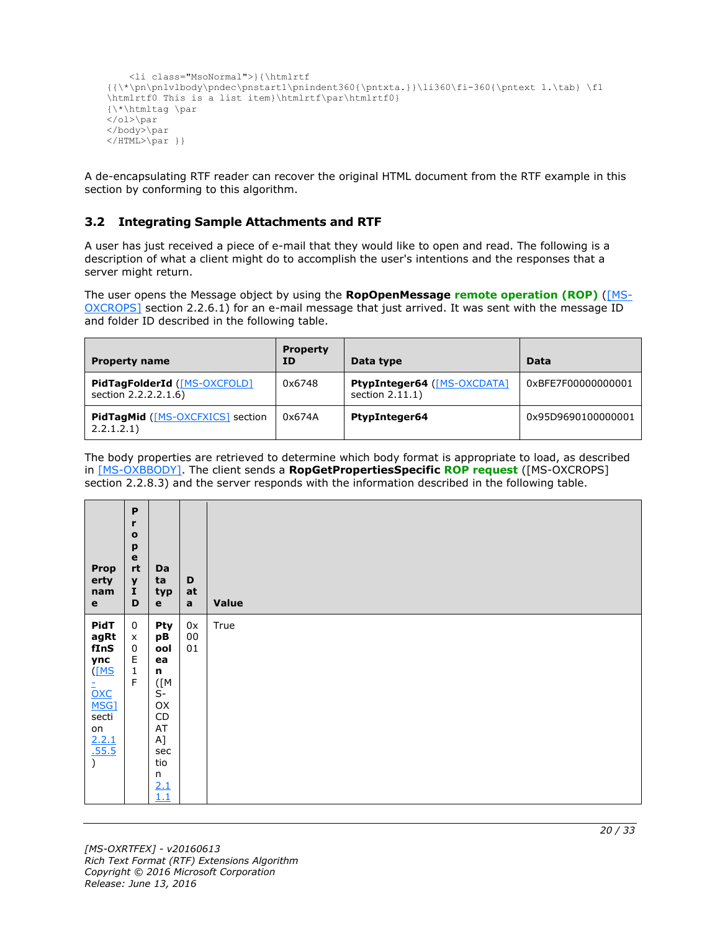```
 <li class="MsoNormal">}{\htmlrtf 
\label{lem:thm:main} $$ \{ \*\pp1 \body\pndec\psstart1\pnindent360{\phi}. \1i360\fi -360{\phi}. t. \tab} \fi $$\htmlrtf0 This is a list item}\htmlrtf\par\htmlrtf0}
{\*\htmltag \par
\langleol>\par
</body>\par
</HTML>\par }}
```
A de-encapsulating RTF reader can recover the original HTML document from the RTF example in this section by conforming to this algorithm.

#### <span id="page-19-0"></span>**3.2 Integrating Sample Attachments and RTF**

A user has just received a piece of e-mail that they would like to open and read. The following is a description of what a client might do to accomplish the user's intentions and the responses that a server might return.

The user opens the Message object by using the **RopOpenMessage [remote operation \(ROP\)](#page-5-9)** [\(\[MS-](%5bMS-OXCROPS%5d.pdf#Section_13af691127e54aa0bb75637b02d4f2ef)[OXCROPS\]](%5bMS-OXCROPS%5d.pdf#Section_13af691127e54aa0bb75637b02d4f2ef) section 2.2.6.1) for an e-mail message that just arrived. It was sent with the message ID and folder ID described in the following table.

| <b>Property name</b>                                  | <b>Property</b><br>ΙD | Data type                                                | Data               |
|-------------------------------------------------------|-----------------------|----------------------------------------------------------|--------------------|
| PidTagFolderId ([MS-OXCFOLD]<br>section 2.2.2.2.1.6)  | 0x6748                | <b>PtypInteger64 ([MS-OXCDATA]</b><br>section $2.11.1$ ) | 0xBFE7F00000000001 |
| <b>PidTagMid</b> ([MS-OXCFXICS] section<br>2.2.1.2.1) | 0x674A                | <b>PtypInteger64</b>                                     | 0x95D9690100000001 |

The body properties are retrieved to determine which body format is appropriate to load, as described in [\[MS-OXBBODY\].](%5bMS-OXBBODY%5d.pdf#Section_98296160746e4b258d45676dabebb57d) The client sends a **RopGetPropertiesSpecific [ROP request](#page-5-10)** ([MS-OXCROPS] section 2.2.8.3) and the server responds with the information described in the following table.

| <b>Prop</b><br>erty<br>nam<br>$\mathbf e$                                                                           | P<br>r<br>$\mathbf{o}$<br>p<br>$\mathbf e$<br>$^{\sf rt}$<br>$\pmb{\mathsf{y}}$<br>$\bf I$<br>D | Da<br>ta<br>typ<br>$\mathbf e$                                                                                                                       | D<br>at<br>$\mathbf{a}$ | <b>Value</b> |
|---------------------------------------------------------------------------------------------------------------------|-------------------------------------------------------------------------------------------------|------------------------------------------------------------------------------------------------------------------------------------------------------|-------------------------|--------------|
| PidT<br>agRt<br>fInS<br>ync<br>(MS<br><u>-</u><br><u>OXC</u><br><u>MSG]</u><br>secti<br>on<br>$\frac{2.2.1}{.55.5}$ | $\mathbf 0$<br>X<br>$\pmb{0}$<br>$\mathsf E$<br>$\mathbf 1$<br>$\mathsf F$                      | Pty<br>рB<br>ool<br>ea<br>n<br>$(\lceil M \rceil)$<br>$\overline{S}$ -<br>OX<br>CD<br>$\mathsf{AT}$<br>$A$ ]<br>sec<br>tio<br>$\frac{n}{2.1}$<br>1.1 | 0x<br>$00\,$<br>01      | True         |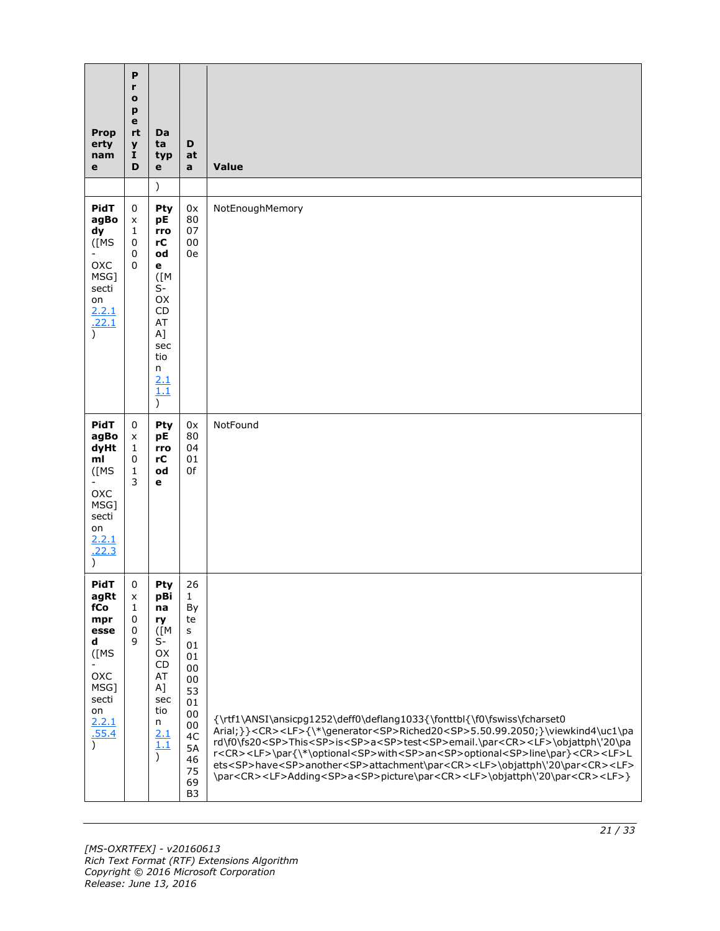| <b>Prop</b><br>erty<br>nam<br>е                                                              | P<br>r<br>$\mathbf{o}$<br>p<br>е<br>rt<br>y<br>1<br>D | Da<br>ta<br>typ<br>е                                                                                                      | D<br>at<br>a                                                                                            | Value                                                                                                                                                                                                                                                                                                                                                                                                                                                                                                                                                                                                                                                       |
|----------------------------------------------------------------------------------------------|-------------------------------------------------------|---------------------------------------------------------------------------------------------------------------------------|---------------------------------------------------------------------------------------------------------|-------------------------------------------------------------------------------------------------------------------------------------------------------------------------------------------------------------------------------------------------------------------------------------------------------------------------------------------------------------------------------------------------------------------------------------------------------------------------------------------------------------------------------------------------------------------------------------------------------------------------------------------------------------|
| <b>PidT</b><br>agBo                                                                          | 0                                                     | $\mathcal{L}$<br>Pty<br>pE                                                                                                | 0x<br>80                                                                                                | NotEnoughMemory                                                                                                                                                                                                                                                                                                                                                                                                                                                                                                                                                                                                                                             |
| dy<br>$($ [MS<br>OXC<br>MSG]<br>secti<br>on<br>2.2.1<br>.22.1<br>$\mathcal{E}$               | x<br>1<br>0<br>0<br>$\mathbf{0}$                      | rro<br>rC<br>od<br>е<br>$(\lceil M \rceil)$<br>$S-$<br>OX<br>CD<br>AT<br>A]<br>sec<br>tio<br>n<br>2.1<br>1.1<br>$\lambda$ | 07<br>00<br>0e                                                                                          |                                                                                                                                                                                                                                                                                                                                                                                                                                                                                                                                                                                                                                                             |
| PidT<br>agBo<br>dyHt<br>ml<br>$($ [MS<br>OXC<br>MSG]<br>secti<br>on<br>2.2.1<br>.22.3        | 0<br>X<br>1<br>0<br>$\mathbf{1}$<br>3                 | Pty<br>рE<br>rro<br>rC<br>od<br>e                                                                                         | 0x<br>80<br>04<br>01<br>0f                                                                              | NotFound                                                                                                                                                                                                                                                                                                                                                                                                                                                                                                                                                                                                                                                    |
| <b>PidT</b><br>agRt<br>fCo                                                                   | 0<br>x<br>$\mathbf{1}$                                | Pty<br>pBi<br>na                                                                                                          | 26<br>$\mathbf{1}$<br>By                                                                                |                                                                                                                                                                                                                                                                                                                                                                                                                                                                                                                                                                                                                                                             |
| mpr<br>esse<br>d<br>$($ [MS<br>OXC<br>MSG]<br>secti<br>on<br>2.2.1<br>.55.4<br>$\mathcal{E}$ | 0<br>0<br>9                                           | ry<br>$(\lceil M \rceil)$<br>$S-$<br>OX<br>CD<br>AT<br>A]<br>sec<br>tio<br>n<br>2.1<br>1.1<br>$\lambda$                   | te<br>s<br>01<br>01<br>00<br>00<br>53<br>01<br>00<br>00<br>4C<br>5A<br>46<br>75<br>69<br>B <sub>3</sub> | {\rtf1\ANSI\ansicpg1252\deff0\deflang1033{\fonttbl{\f0\fswiss\fcharset0<br>Arial;}} <cr><lf>{\*\generator<sp>Riched20<sp>5.50.99.2050;}\viewkind4\uc1\pa<br/>rd\f0\fs20<sp>This<sp>is<sp>a<sp>test<sp>email.\par<cr><lf>\objattph\'20\pa<br/>r<cr><lf>\par{\*\optional<sp>with<sp>an<sp>optional<sp>line\par}<cr><lf>L<br/>ets<sp>have<sp>another<sp>attachment\par<cr><lf>\objattph\'20\par<cr><lf><br/>\par<cr><lf>Adding<sp>a<sp>picture\par<cr><lf>\objattph\'20\par<cr><lf>}</lf></cr></lf></cr></sp></sp></lf></cr></lf></cr></lf></cr></sp></sp></sp></lf></cr></sp></sp></sp></sp></lf></cr></lf></cr></sp></sp></sp></sp></sp></sp></sp></lf></cr> |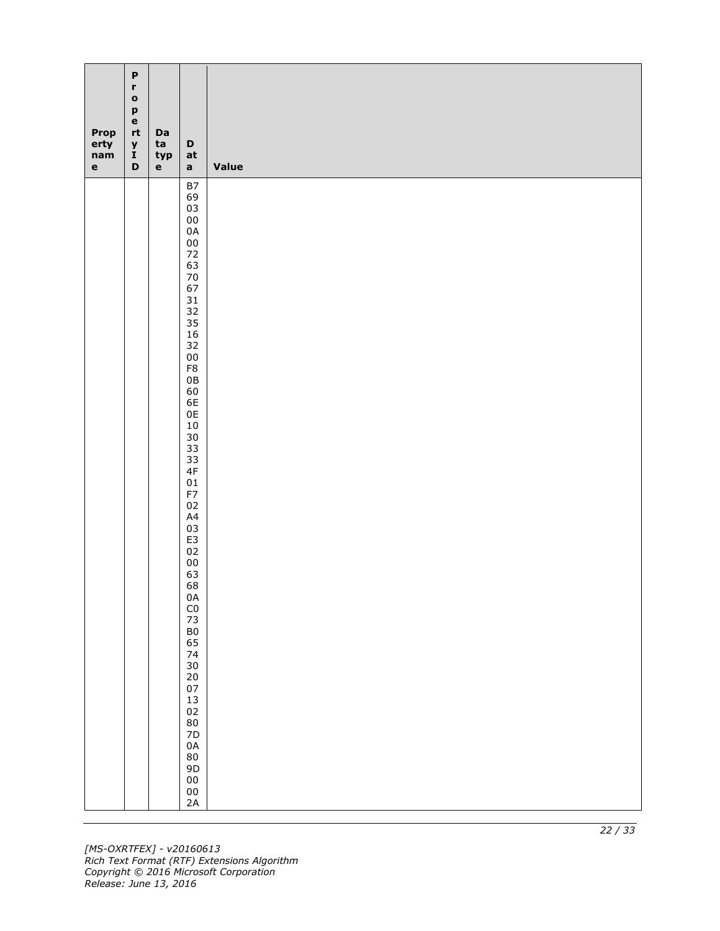| Prop<br>erty<br>nam<br>$\mathbf{e}$ | $\boldsymbol{\mathsf{P}}$<br>$\mathbf r$<br>$\mathbf{o}$<br>p<br>$\mathbf e$<br>$\mathsf{r}\mathsf{t}$<br>$\pmb{\mathsf{y}}$<br>$\tilde{I}$<br>$\mathbf D$ | Da<br>ta<br>typ<br>$\mathbf e$ | D<br>at<br>$\mathbf{a}$                 | Value |
|-------------------------------------|------------------------------------------------------------------------------------------------------------------------------------------------------------|--------------------------------|-----------------------------------------|-------|
|                                     |                                                                                                                                                            |                                | $\mathsf{B7}$<br>69                     |       |
|                                     |                                                                                                                                                            |                                | 03<br>${\bf 00}$                        |       |
|                                     |                                                                                                                                                            |                                | $0A$                                    |       |
|                                     |                                                                                                                                                            |                                | ${\bf 00}$<br>$72\,$                    |       |
|                                     |                                                                                                                                                            |                                | 63<br>$70\,$                            |       |
|                                     |                                                                                                                                                            |                                | 67<br>31                                |       |
|                                     |                                                                                                                                                            |                                | 32                                      |       |
|                                     |                                                                                                                                                            |                                | 35<br>$16\,$                            |       |
|                                     |                                                                                                                                                            |                                | 32<br>${\bf 00}$                        |       |
|                                     |                                                                                                                                                            |                                | ${\sf F8}$<br>$0\,\mathrm{B}$           |       |
|                                     |                                                                                                                                                            |                                | 60<br>6E                                |       |
|                                     |                                                                                                                                                            |                                | $0\mathsf{E}$                           |       |
|                                     |                                                                                                                                                            |                                | $10\,$<br>$30\,$                        |       |
|                                     |                                                                                                                                                            |                                | 33<br>33                                |       |
|                                     |                                                                                                                                                            |                                | $4\mathsf{F}$<br>${\tt 01}$             |       |
|                                     |                                                                                                                                                            |                                | F7                                      |       |
|                                     |                                                                                                                                                            |                                | $02\,$<br>A4                            |       |
|                                     |                                                                                                                                                            |                                | 03<br>E3                                |       |
|                                     |                                                                                                                                                            |                                | 02<br>${\bf 00}$                        |       |
|                                     |                                                                                                                                                            |                                | 63<br>68                                |       |
|                                     |                                                                                                                                                            |                                |                                         |       |
|                                     |                                                                                                                                                            |                                |                                         |       |
|                                     |                                                                                                                                                            |                                | 0A<br>C0<br>73<br>B0<br>65              |       |
|                                     |                                                                                                                                                            |                                | 74<br>30                                |       |
|                                     |                                                                                                                                                            |                                | $\begin{array}{c} 20 \\ 07 \end{array}$ |       |
|                                     |                                                                                                                                                            |                                | $13\,$                                  |       |
|                                     |                                                                                                                                                            |                                | 02<br>80<br>7D                          |       |
|                                     |                                                                                                                                                            |                                | $0\text{A}$                             |       |
|                                     |                                                                                                                                                            |                                | ${\bf 80}$<br>$9D$                      |       |
|                                     |                                                                                                                                                            |                                | ${\bf 00}$                              |       |
|                                     |                                                                                                                                                            |                                | ${\bf 00}$<br>2A                        |       |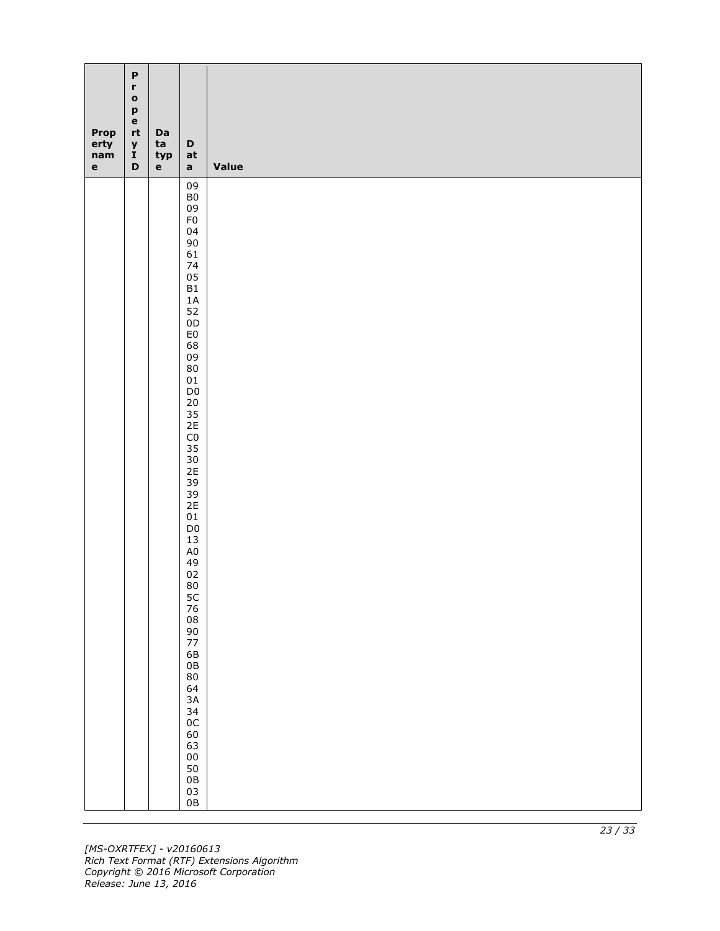| Prop<br>erty<br>nam<br>$\mathbf{e}$ | $\boldsymbol{\mathsf{P}}$<br>$\mathbf r$<br>$\mathbf{o}$<br>p<br>$\mathbf e$<br>$\mathsf{r}\mathsf{t}$<br>$\pmb{\mathsf{y}}$<br>$\tilde{I}$<br>$\mathbf D$ | Da<br>ta<br>typ<br>$\mathbf e$ | $\mathbf D$<br>at<br>$\mathbf{a}$ | <b>Value</b> |
|-------------------------------------|------------------------------------------------------------------------------------------------------------------------------------------------------------|--------------------------------|-----------------------------------|--------------|
|                                     |                                                                                                                                                            |                                | 09<br>${\sf B0}$                  |              |
|                                     |                                                                                                                                                            |                                | 09                                |              |
|                                     |                                                                                                                                                            |                                | ${\sf F0}$<br>04                  |              |
|                                     |                                                                                                                                                            |                                | $90\,$                            |              |
|                                     |                                                                                                                                                            |                                | 61<br>74                          |              |
|                                     |                                                                                                                                                            |                                | 05                                |              |
|                                     |                                                                                                                                                            |                                | B1<br>$1\text{\AA}$               |              |
|                                     |                                                                                                                                                            |                                | 52<br>0D                          |              |
|                                     |                                                                                                                                                            |                                | ${\sf E0}$                        |              |
|                                     |                                                                                                                                                            |                                | 68<br>09                          |              |
|                                     |                                                                                                                                                            |                                | $80\,$<br>01                      |              |
|                                     |                                                                                                                                                            |                                | $\mathsf{D}0$                     |              |
|                                     |                                                                                                                                                            |                                | $20\,$<br>35                      |              |
|                                     |                                                                                                                                                            |                                | 2E                                |              |
|                                     |                                                                                                                                                            |                                | ${\sf C0}$<br>35                  |              |
|                                     |                                                                                                                                                            |                                | $30\,$<br>2E                      |              |
|                                     |                                                                                                                                                            |                                | 39                                |              |
|                                     |                                                                                                                                                            |                                | 39<br>2E                          |              |
|                                     |                                                                                                                                                            |                                | $01\,$<br>$\mathsf{D}0$           |              |
|                                     |                                                                                                                                                            |                                | $13\,$                            |              |
|                                     |                                                                                                                                                            |                                | $\mathsf{A}0$<br>49               |              |
|                                     |                                                                                                                                                            |                                | 02                                |              |
|                                     |                                                                                                                                                            |                                | $80\,$                            |              |
|                                     |                                                                                                                                                            |                                | 5C 76 8 90 77 6B 0B               |              |
|                                     |                                                                                                                                                            |                                |                                   |              |
|                                     |                                                                                                                                                            |                                |                                   |              |
|                                     |                                                                                                                                                            |                                |                                   |              |
|                                     |                                                                                                                                                            |                                | $80$<br>$64$<br>$3A$              |              |
|                                     |                                                                                                                                                            |                                |                                   |              |
|                                     |                                                                                                                                                            |                                |                                   |              |
|                                     |                                                                                                                                                            |                                | 34<br>0C<br>60<br>63              |              |
|                                     |                                                                                                                                                            |                                |                                   |              |
|                                     |                                                                                                                                                            |                                |                                   |              |
|                                     |                                                                                                                                                            |                                |                                   |              |
|                                     |                                                                                                                                                            |                                | 00<br>50<br>0B<br>03<br>0B        |              |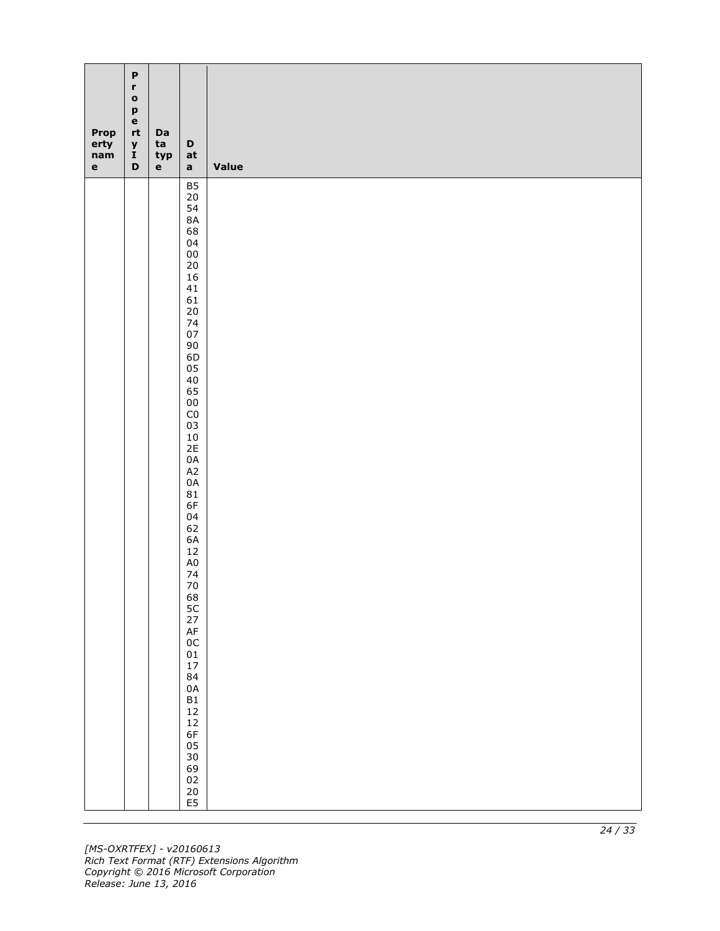| Prop<br>erty<br>nam<br>$\mathbf{e}$ | $\boldsymbol{\mathsf{P}}$<br>$\mathbf r$<br>$\mathbf{o}$<br>p<br>$\mathbf e$<br>$\mathsf{r}\mathsf{t}$<br>$\pmb{\mathsf{y}}$<br>$\tilde{I}$<br>$\mathbf D$ | Da<br>ta<br>typ<br>$\mathbf e$ | $\mathbf D$<br>at<br>$\mathbf{a}$      | <b>Value</b> |
|-------------------------------------|------------------------------------------------------------------------------------------------------------------------------------------------------------|--------------------------------|----------------------------------------|--------------|
|                                     |                                                                                                                                                            |                                | <b>B5</b><br>$20\,$                    |              |
|                                     |                                                                                                                                                            |                                | 54                                     |              |
|                                     |                                                                                                                                                            |                                | $8A$<br>68                             |              |
|                                     |                                                                                                                                                            |                                | 04                                     |              |
|                                     |                                                                                                                                                            |                                | ${\bf 00}$<br>$20\,$                   |              |
|                                     |                                                                                                                                                            |                                | $16\,$                                 |              |
|                                     |                                                                                                                                                            |                                | 41<br>61                               |              |
|                                     |                                                                                                                                                            |                                | $20\,$<br>74                           |              |
|                                     |                                                                                                                                                            |                                | $07\,$                                 |              |
|                                     |                                                                                                                                                            |                                | $90\,$<br>6D                           |              |
|                                     |                                                                                                                                                            |                                | 05<br>$40\,$                           |              |
|                                     |                                                                                                                                                            |                                | 65                                     |              |
|                                     |                                                                                                                                                            |                                | ${\bf 00}$<br>$\mathsf{C}0$            |              |
|                                     |                                                                                                                                                            |                                | 03                                     |              |
|                                     |                                                                                                                                                            |                                | $10\,$<br>2E                           |              |
|                                     |                                                                                                                                                            |                                | $0\text{A}$<br>$\mathsf{A2}$           |              |
|                                     |                                                                                                                                                            |                                | $0A$                                   |              |
|                                     |                                                                                                                                                            |                                | 81<br>6F                               |              |
|                                     |                                                                                                                                                            |                                | 04                                     |              |
|                                     |                                                                                                                                                            |                                | 62<br>6A                               |              |
|                                     |                                                                                                                                                            |                                | $12\,$<br>$\mathsf{A}0$                |              |
|                                     |                                                                                                                                                            |                                | 74                                     |              |
|                                     |                                                                                                                                                            |                                | $70\,$                                 |              |
|                                     |                                                                                                                                                            |                                | 68<br>5C<br>27<br>AF<br>0C<br>01<br>17 |              |
|                                     |                                                                                                                                                            |                                |                                        |              |
|                                     |                                                                                                                                                            |                                |                                        |              |
|                                     |                                                                                                                                                            |                                |                                        |              |
|                                     |                                                                                                                                                            |                                | 84<br>0A<br>B1                         |              |
|                                     |                                                                                                                                                            |                                |                                        |              |
|                                     |                                                                                                                                                            |                                | $12$<br>$12$<br>$6F$<br>$05$           |              |
|                                     |                                                                                                                                                            |                                |                                        |              |
|                                     |                                                                                                                                                            |                                |                                        |              |
|                                     |                                                                                                                                                            |                                |                                        |              |
|                                     |                                                                                                                                                            |                                | 30<br>69<br>02<br>20<br>E5             |              |
|                                     |                                                                                                                                                            |                                |                                        |              |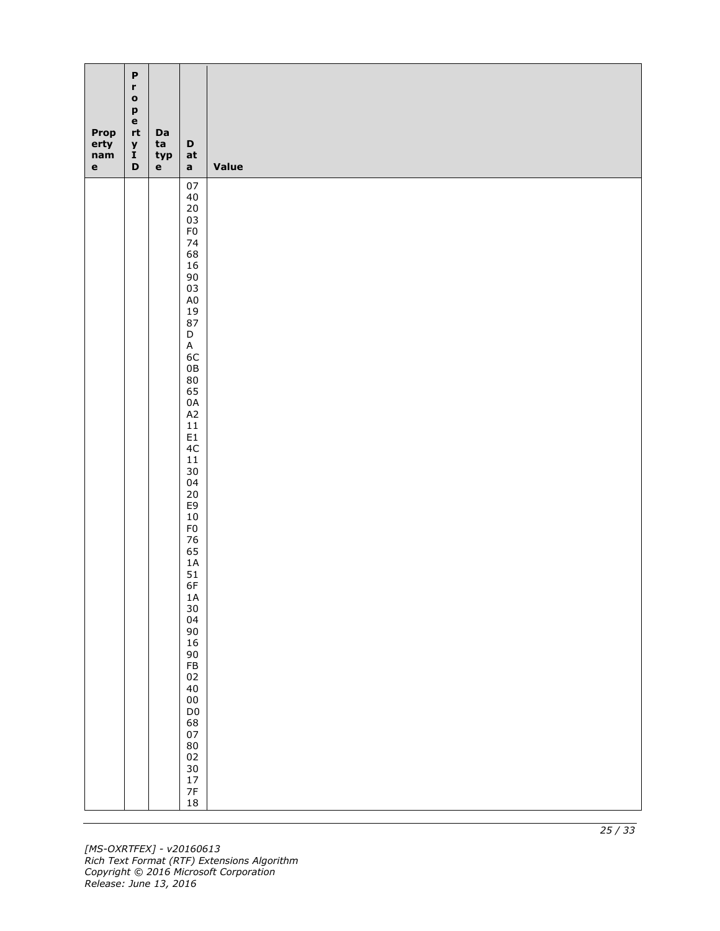| Prop<br>erty<br>nam<br>$\mathbf{e}$ | $\boldsymbol{\mathsf{P}}$<br>$\mathbf r$<br>$\mathbf{o}$<br>p<br>$\mathbf e$<br>$\mathsf{r}\mathsf{t}$<br>$\pmb{\mathsf{y}}$<br>$\tilde{I}$<br>$\mathbf D$ | Da<br>ta<br>typ<br>$\mathbf e$ | $\mathbf D$<br>at<br>$\mathbf{a}$      | <b>Value</b> |
|-------------------------------------|------------------------------------------------------------------------------------------------------------------------------------------------------------|--------------------------------|----------------------------------------|--------------|
|                                     |                                                                                                                                                            |                                | $07\,$<br>$40\,$                       |              |
|                                     |                                                                                                                                                            |                                | $20\,$                                 |              |
|                                     |                                                                                                                                                            |                                | 03<br>${\sf F0}$                       |              |
|                                     |                                                                                                                                                            |                                | 74                                     |              |
|                                     |                                                                                                                                                            |                                | 68<br>16                               |              |
|                                     |                                                                                                                                                            |                                | $90\,$                                 |              |
|                                     |                                                                                                                                                            |                                | 03<br>$\mathsf{A}0$                    |              |
|                                     |                                                                                                                                                            |                                | 19                                     |              |
|                                     |                                                                                                                                                            |                                | 87<br>$\mathsf D$                      |              |
|                                     |                                                                                                                                                            |                                | $\mathsf A$                            |              |
|                                     |                                                                                                                                                            |                                | 6C<br>$0\,\mathrm{B}$                  |              |
|                                     |                                                                                                                                                            |                                | $80\,$                                 |              |
|                                     |                                                                                                                                                            |                                | 65<br>$0\text{A}$                      |              |
|                                     |                                                                                                                                                            |                                | $\mathsf{A2}$                          |              |
|                                     |                                                                                                                                                            |                                | $11\,$<br>E1                           |              |
|                                     |                                                                                                                                                            |                                | 4C                                     |              |
|                                     |                                                                                                                                                            |                                | $11\,$<br>$30\,$                       |              |
|                                     |                                                                                                                                                            |                                | 04<br>$20\,$                           |              |
|                                     |                                                                                                                                                            |                                | E9                                     |              |
|                                     |                                                                                                                                                            |                                | $10\,$<br>F <sub>0</sub>               |              |
|                                     |                                                                                                                                                            |                                | $76\,$                                 |              |
|                                     |                                                                                                                                                            |                                | 65<br>$1\text{\AA}$                    |              |
|                                     |                                                                                                                                                            |                                | 51                                     |              |
|                                     |                                                                                                                                                            |                                | 6F                                     |              |
|                                     |                                                                                                                                                            |                                | $\frac{1A}{30}$                        |              |
|                                     |                                                                                                                                                            |                                | 04                                     |              |
|                                     |                                                                                                                                                            |                                | 90<br>16<br>90<br>FB<br>02<br>40<br>00 |              |
|                                     |                                                                                                                                                            |                                |                                        |              |
|                                     |                                                                                                                                                            |                                |                                        |              |
|                                     |                                                                                                                                                            |                                |                                        |              |
|                                     |                                                                                                                                                            |                                | D <sub>0</sub><br>68<br>07<br>80       |              |
|                                     |                                                                                                                                                            |                                |                                        |              |
|                                     |                                                                                                                                                            |                                |                                        |              |
|                                     |                                                                                                                                                            |                                |                                        |              |
|                                     |                                                                                                                                                            |                                | 02<br>30<br>17<br>7F                   |              |
|                                     |                                                                                                                                                            |                                | $18\,$                                 |              |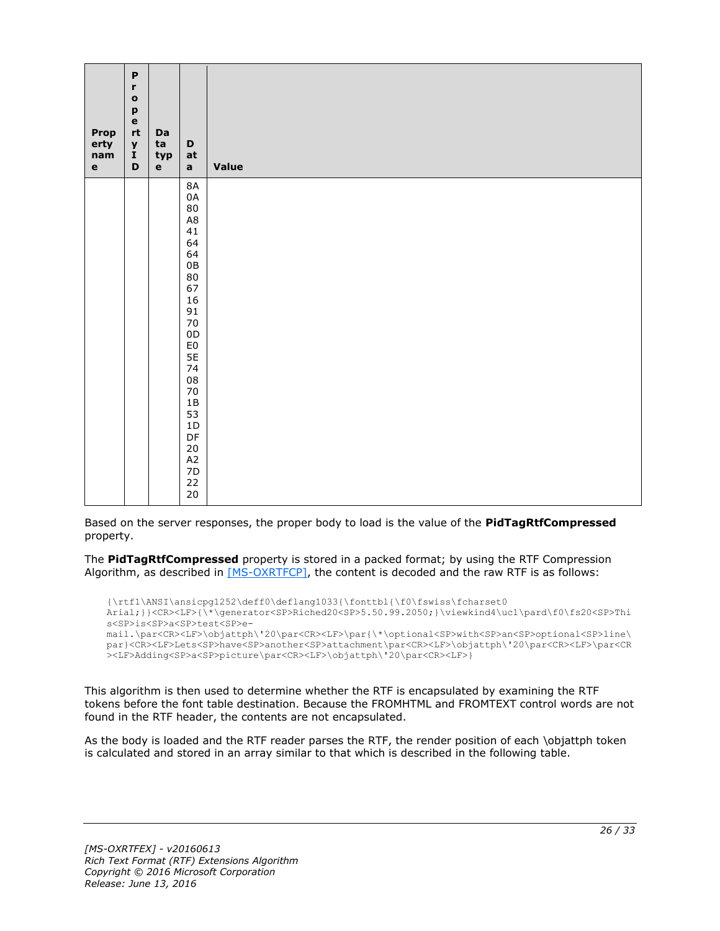| Prop<br>erty<br>nam<br>$\mathbf e$ | $\mathsf P$<br>$\mathbf r$<br>$\bullet$<br>p<br>$\mathbf e$<br>rt<br>$\pmb{\mathsf{y}}$<br>$\tilde{I}$<br>$\mathbf D$ | Da<br>ta<br>typ<br>$\mathbf{e}$ | $\mathbf D$<br>at<br>$\mathbf{a}$                                                                                                                                                                                                                                            | Value |
|------------------------------------|-----------------------------------------------------------------------------------------------------------------------|---------------------------------|------------------------------------------------------------------------------------------------------------------------------------------------------------------------------------------------------------------------------------------------------------------------------|-------|
|                                    |                                                                                                                       |                                 | $8\mathsf{A}$<br>0A<br>$80\,$<br>$\mathsf{A}8$<br>41<br>64<br>64<br>$0\mathsf{B}$<br>$80\,$<br>67<br>$16\,$<br>91<br>$70\,$<br>$0\mathsf{D}$<br>${\sf E0}$<br>5E<br>74<br>${\bf 08}$<br>$70\,$<br>$1\mathsf{B}$<br>53<br>$1\,\mathrm{D}$<br>DF<br>20<br>A2<br>7D<br>22<br>20 |       |

Based on the server responses, the proper body to load is the value of the **PidTagRtfCompressed** property.

The **PidTagRtfCompressed** property is stored in a packed format; by using the RTF Compression Algorithm, as described in [\[MS-OXRTFCP\],](%5bMS-OXRTFCP%5d.pdf#Section_65dfe2df1b6943fc8ebd21819a7463fb) the content is decoded and the raw RTF is as follows:

```
{\rtf1\ANSI\ansicpg1252\deff0\deflang1033{\fonttbl{\f0\fswiss\fcharset0 
Arial;}}<CR><LF>{\*\generator<SP>Riched20<SP>5.50.99.2050;}\viewkind4\uc1\pard\f0\fs20<SP>Thi
s<SP>is<SP>a<SP>test<SP>e-
mail.\par<CR><LF>\objattph\'20\par<CR><LF>\par{\*\optional<SP>with<SP>an<SP>optional<SP>line\
par}<CR><LF>Lets<SP>have<SP>another<SP>attachment\par<CR><LF>\objattph\'20\par<CR><LF>\par<CR
><LF>Adding<SP>a<SP>picture\par<CR><LF>\objattph\'20\par<CR><LF>}
```
This algorithm is then used to determine whether the RTF is encapsulated by examining the RTF tokens before the font table destination. Because the FROMHTML and FROMTEXT control words are not found in the RTF header, the contents are not encapsulated.

As the body is loaded and the RTF reader parses the RTF, the render position of each \objattph token is calculated and stored in an array similar to that which is described in the following table.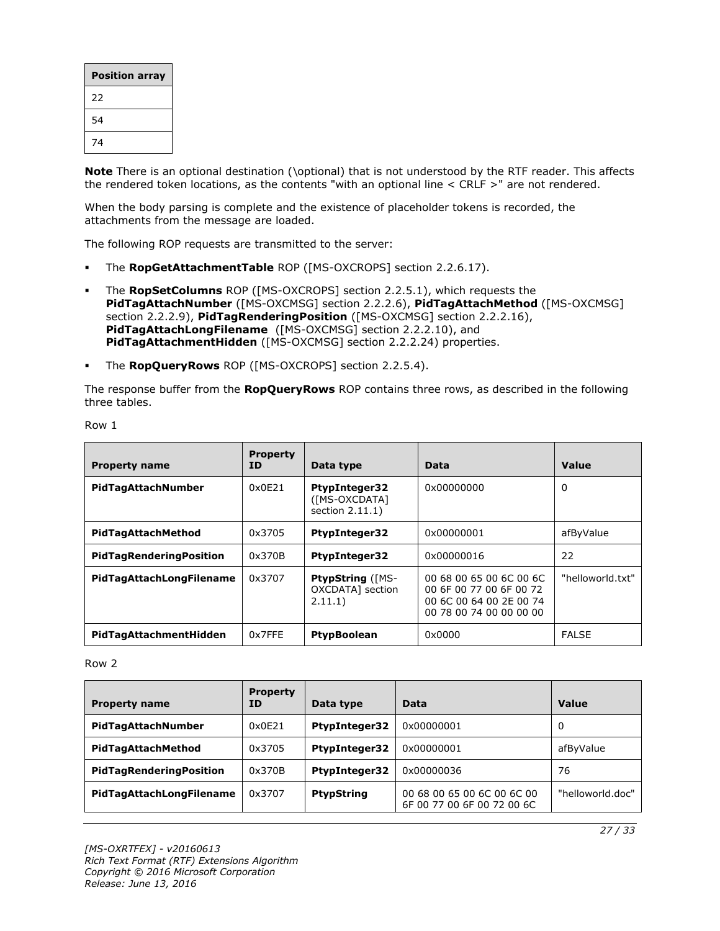| <b>Position array</b> |
|-----------------------|
| 22                    |
| 54                    |
| 74                    |

**Note** There is an optional destination (\optional) that is not understood by the RTF reader. This affects the rendered token locations, as the contents "with an optional line < CRLF >" are not rendered.

When the body parsing is complete and the existence of placeholder tokens is recorded, the attachments from the message are loaded.

The following ROP requests are transmitted to the server:

- The **RopGetAttachmentTable** ROP ([MS-OXCROPS] section 2.2.6.17).
- The **RopSetColumns** ROP ([MS-OXCROPS] section 2.2.5.1), which requests the **PidTagAttachNumber** ([MS-OXCMSG] section 2.2.2.6), **PidTagAttachMethod** ([MS-OXCMSG] section 2.2.2.9), **PidTagRenderingPosition** ([MS-OXCMSG] section 2.2.2.16), **PidTagAttachLongFilename** ([MS-OXCMSG] section 2.2.2.10), and **PidTagAttachmentHidden** ([MS-OXCMSG] section 2.2.2.24) properties.
- The **RopQueryRows** ROP ([MS-OXCROPS] section 2.2.5.4).

The response buffer from the **RopQueryRows** ROP contains three rows, as described in the following three tables.

| <b>Property name</b>           | <b>Property</b><br>ID | Data type                                                | Data                                                                                                     | Value            |
|--------------------------------|-----------------------|----------------------------------------------------------|----------------------------------------------------------------------------------------------------------|------------------|
| PidTagAttachNumber             | 0x0E21                | <b>PtypInteger32</b><br>([MS-OXCDATA]<br>section 2.11.1) | 0x00000000                                                                                               | 0                |
| PidTagAttachMethod             | 0x3705                | <b>PtypInteger32</b>                                     | 0x00000001                                                                                               | afByValue        |
| <b>PidTagRenderingPosition</b> | 0x370B                | <b>PtypInteger32</b>                                     | 0x00000016                                                                                               | 22               |
| PidTagAttachLongFilename       | 0x3707                | <b>PtypString ([MS-</b><br>OXCDATA1 section<br>2.11.1)   | 00 68 00 65 00 6C 00 6C<br>00 6F 00 77 00 6F 00 72<br>00 6C 00 64 00 2E 00 74<br>00 78 00 74 00 00 00 00 | "helloworld.txt" |
| PidTagAttachmentHidden         | 0x7FFE                | <b>PtypBoolean</b>                                       | 0x0000                                                                                                   | <b>FALSE</b>     |

#### Row 1

#### Row 2

| <b>Property name</b>           | <b>Property</b><br>ΙD | Data type            | Data                                                     | Value            |
|--------------------------------|-----------------------|----------------------|----------------------------------------------------------|------------------|
| PidTagAttachNumber             | 0x0E21                | <b>PtypInteger32</b> | 0x00000001                                               | 0                |
| PidTagAttachMethod             | 0x3705                | <b>PtypInteger32</b> | 0x00000001                                               | afByValue        |
| <b>PidTagRenderingPosition</b> | 0x370B                | <b>PtypInteger32</b> | 0x00000036                                               | 76               |
| PidTagAttachLongFilename       | 0x3707                | <b>PtypString</b>    | 00 68 00 65 00 6C 00 6C 00<br>6F 00 77 00 6F 00 72 00 6C | "helloworld.doc" |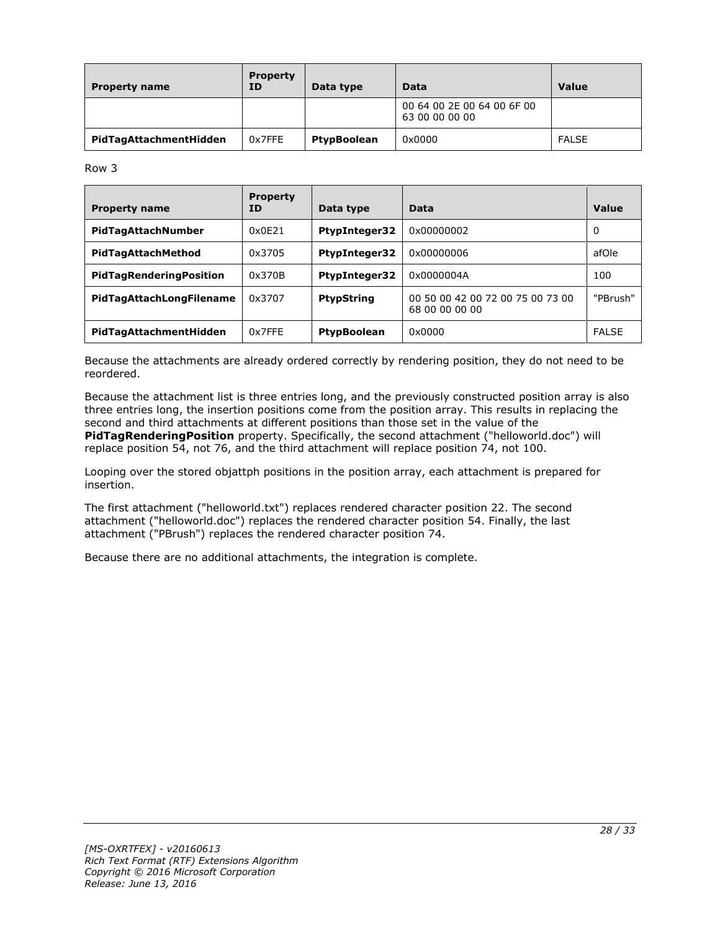| <b>Property name</b>   | <b>Property</b><br><b>ID</b> | Data type   | Data                                         | Value        |
|------------------------|------------------------------|-------------|----------------------------------------------|--------------|
|                        |                              |             | 00 64 00 2E 00 64 00 6F 00<br>63 00 00 00 00 |              |
| PidTagAttachmentHidden | 0x7FFE                       | PtypBoolean | 0x0000                                       | <b>FALSE</b> |

Row 3

| <b>Property name</b>           | <b>Property</b><br>ΙD | Data type            | Data                                               | Value        |
|--------------------------------|-----------------------|----------------------|----------------------------------------------------|--------------|
| PidTagAttachNumber             | 0x0E21                | <b>PtypInteger32</b> | 0x00000002                                         | 0            |
| PidTagAttachMethod             | 0x3705                | <b>PtypInteger32</b> | 0x00000006                                         | afOle        |
| <b>PidTagRenderingPosition</b> | 0x370B                | <b>PtypInteger32</b> | 0x0000004A                                         | 100          |
| PidTagAttachLongFilename       | 0x3707                | <b>PtypString</b>    | 00 50 00 42 00 72 00 75 00 73 00<br>68 00 00 00 00 | "PBrush"     |
| PidTagAttachmentHidden         | 0x7FFF                | <b>PtypBoolean</b>   | 0x0000                                             | <b>FALSE</b> |

Because the attachments are already ordered correctly by rendering position, they do not need to be reordered.

Because the attachment list is three entries long, and the previously constructed position array is also three entries long, the insertion positions come from the position array. This results in replacing the second and third attachments at different positions than those set in the value of the **PidTagRenderingPosition** property. Specifically, the second attachment ("helloworld.doc") will replace position 54, not 76, and the third attachment will replace position 74, not 100.

Looping over the stored objattph positions in the position array, each attachment is prepared for insertion.

The first attachment ("helloworld.txt") replaces rendered character position 22. The second attachment ("helloworld.doc") replaces the rendered character position 54. Finally, the last attachment ("PBrush") replaces the rendered character position 74.

Because there are no additional attachments, the integration is complete.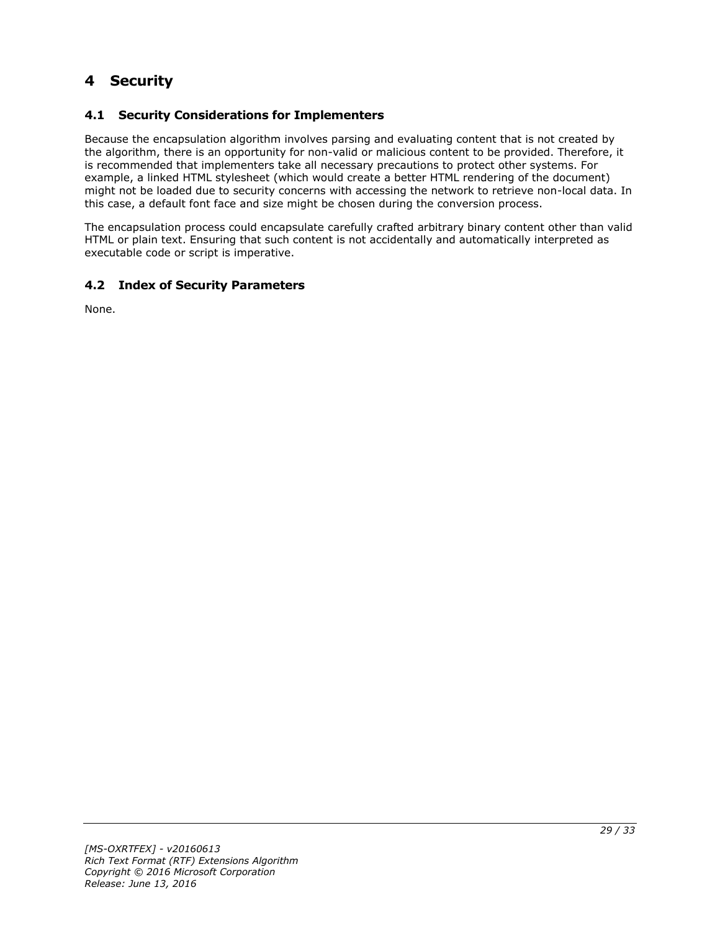## <span id="page-28-0"></span>**4 Security**

#### <span id="page-28-1"></span>**4.1 Security Considerations for Implementers**

Because the encapsulation algorithm involves parsing and evaluating content that is not created by the algorithm, there is an opportunity for non-valid or malicious content to be provided. Therefore, it is recommended that implementers take all necessary precautions to protect other systems. For example, a linked HTML stylesheet (which would create a better HTML rendering of the document) might not be loaded due to security concerns with accessing the network to retrieve non-local data. In this case, a default font face and size might be chosen during the conversion process.

The encapsulation process could encapsulate carefully crafted arbitrary binary content other than valid HTML or plain text. Ensuring that such content is not accidentally and automatically interpreted as executable code or script is imperative.

#### <span id="page-28-2"></span>**4.2 Index of Security Parameters**

None.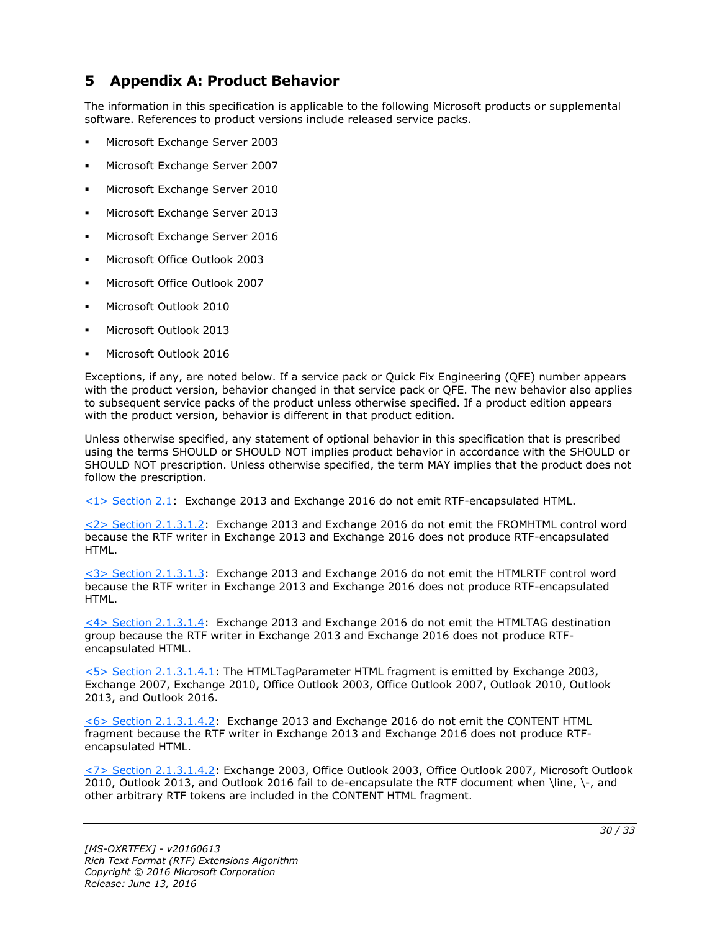## <span id="page-29-0"></span>**5 Appendix A: Product Behavior**

The information in this specification is applicable to the following Microsoft products or supplemental software. References to product versions include released service packs.

- Microsoft Exchange Server 2003
- Microsoft Exchange Server 2007
- Microsoft Exchange Server 2010
- Microsoft Exchange Server 2013
- Microsoft Exchange Server 2016
- Microsoft Office Outlook 2003
- Microsoft Office Outlook 2007
- Microsoft Outlook 2010
- Microsoft Outlook 2013
- Microsoft Outlook 2016

Exceptions, if any, are noted below. If a service pack or Quick Fix Engineering (QFE) number appears with the product version, behavior changed in that service pack or QFE. The new behavior also applies to subsequent service packs of the product unless otherwise specified. If a product edition appears with the product version, behavior is different in that product edition.

Unless otherwise specified, any statement of optional behavior in this specification that is prescribed using the terms SHOULD or SHOULD NOT implies product behavior in accordance with the SHOULD or SHOULD NOT prescription. Unless otherwise specified, the term MAY implies that the product does not follow the prescription.

<span id="page-29-1"></span>[<1> Section 2.1:](#page-8-7) Exchange 2013 and Exchange 2016 do not emit RTF-encapsulated HTML.

<span id="page-29-2"></span>[<2> Section 2.1.3.1.2:](#page-9-3) Exchange 2013 and Exchange 2016 do not emit the FROMHTML control word because the RTF writer in Exchange 2013 and Exchange 2016 does not produce RTF-encapsulated HTML.

<span id="page-29-3"></span>[<3> Section 2.1.3.1.3:](#page-9-4) Exchange 2013 and Exchange 2016 do not emit the HTMLRTF control word because the RTF writer in Exchange 2013 and Exchange 2016 does not produce RTF-encapsulated HTML.

<span id="page-29-4"></span> $\langle 4 \rangle$  Section 2.1.3.1.4: Exchange 2013 and Exchange 2016 do not emit the HTMLTAG destination group because the RTF writer in Exchange 2013 and Exchange 2016 does not produce RTFencapsulated HTML.

<span id="page-29-5"></span> $5$  Section 2.1.3.1.4.1: The HTMLTagParameter HTML fragment is emitted by Exchange 2003, Exchange 2007, Exchange 2010, Office Outlook 2003, Office Outlook 2007, Outlook 2010, Outlook 2013, and Outlook 2016.

<span id="page-29-6"></span>[<6> Section 2.1.3.1.4.2:](#page-11-1) Exchange 2013 and Exchange 2016 do not emit the CONTENT HTML fragment because the RTF writer in Exchange 2013 and Exchange 2016 does not produce RTFencapsulated HTML.

<span id="page-29-7"></span>[<7> Section 2.1.3.1.4.2:](#page-11-2) Exchange 2003, Office Outlook 2003, Office Outlook 2007, Microsoft Outlook 2010, Outlook 2013, and Outlook 2016 fail to de-encapsulate the RTF document when \line, \-, and other arbitrary RTF tokens are included in the CONTENT HTML fragment.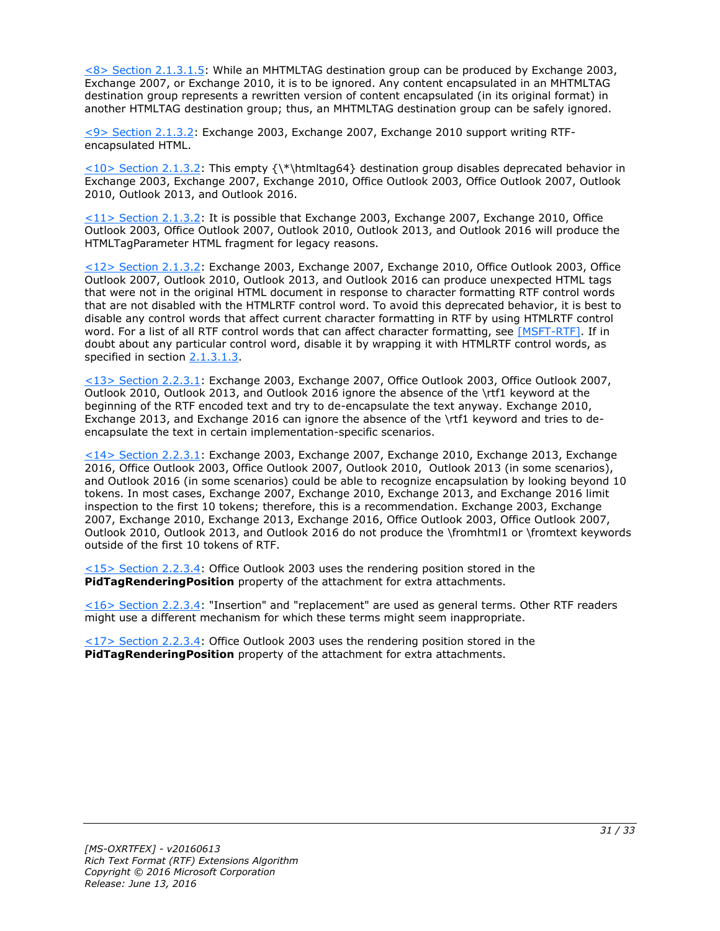<span id="page-30-0"></span> $<$ 8> Section 2.1.3.1.5: While an MHTMLTAG destination group can be produced by Exchange 2003, Exchange 2007, or Exchange 2010, it is to be ignored. Any content encapsulated in an MHTMLTAG destination group represents a rewritten version of content encapsulated (in its original format) in another HTMLTAG destination group; thus, an MHTMLTAG destination group can be safely ignored.

<span id="page-30-1"></span>[<9> Section 2.1.3.2:](#page-13-2) Exchange 2003, Exchange 2007, Exchange 2010 support writing RTFencapsulated HTML.

<span id="page-30-2"></span> $\leq 10$  Section 2.1.3.2: This empty {\\*\htmltag64} destination group disables deprecated behavior in Exchange 2003, Exchange 2007, Exchange 2010, Office Outlook 2003, Office Outlook 2007, Outlook 2010, Outlook 2013, and Outlook 2016.

<span id="page-30-3"></span>[<11> Section 2.1.3.2:](#page-13-4) It is possible that Exchange 2003, Exchange 2007, Exchange 2010, Office Outlook 2003, Office Outlook 2007, Outlook 2010, Outlook 2013, and Outlook 2016 will produce the HTMLTagParameter HTML fragment for legacy reasons.

<span id="page-30-4"></span>[<12> Section 2.1.3.2:](#page-13-5) Exchange 2003, Exchange 2007, Exchange 2010, Office Outlook 2003, Office Outlook 2007, Outlook 2010, Outlook 2013, and Outlook 2016 can produce unexpected HTML tags that were not in the original HTML document in response to character formatting RTF control words that are not disabled with the HTMLRTF control word. To avoid this deprecated behavior, it is best to disable any control words that affect current character formatting in RTF by using HTMLRTF control word. For a list of all RTF control words that can affect character formatting, see [\[MSFT-RTF\].](http://go.microsoft.com/fwlink/?LinkId=120924) If in doubt about any particular control word, disable it by wrapping it with HTMLRTF control words, as specified in section [2.1.3.1.3.](#page-9-1)

<span id="page-30-5"></span>[<13> Section 2.2.3.1:](#page-14-5) Exchange 2003, Exchange 2007, Office Outlook 2003, Office Outlook 2007, Outlook 2010, Outlook 2013, and Outlook 2016 ignore the absence of the \rtf1 keyword at the beginning of the RTF encoded text and try to de-encapsulate the text anyway. Exchange 2010, Exchange 2013, and Exchange 2016 can ignore the absence of the \rtf1 keyword and tries to deencapsulate the text in certain implementation-specific scenarios.

<span id="page-30-6"></span>[<14> Section 2.2.3.1:](#page-14-6) Exchange 2003, Exchange 2007, Exchange 2010, Exchange 2013, Exchange 2016, Office Outlook 2003, Office Outlook 2007, Outlook 2010, Outlook 2013 (in some scenarios), and Outlook 2016 (in some scenarios) could be able to recognize encapsulation by looking beyond 10 tokens. In most cases, Exchange 2007, Exchange 2010, Exchange 2013, and Exchange 2016 limit inspection to the first 10 tokens; therefore, this is a recommendation. Exchange 2003, Exchange 2007, Exchange 2010, Exchange 2013, Exchange 2016, Office Outlook 2003, Office Outlook 2007, Outlook 2010, Outlook 2013, and Outlook 2016 do not produce the \fromhtml1 or \fromtext keywords outside of the first 10 tokens of RTF.

<span id="page-30-7"></span> $\leq$ 15> Section 2.2.3.4: Office Outlook 2003 uses the rendering position stored in the **PidTagRenderingPosition** property of the attachment for extra attachments.

<span id="page-30-8"></span>[<16> Section 2.2.3.4:](#page-17-1) "Insertion" and "replacement" are used as general terms. Other RTF readers might use a different mechanism for which these terms might seem inappropriate.

<span id="page-30-9"></span>[<17> Section 2.2.3.4:](#page-17-2) Office Outlook 2003 uses the rendering position stored in the **PidTagRenderingPosition** property of the attachment for extra attachments.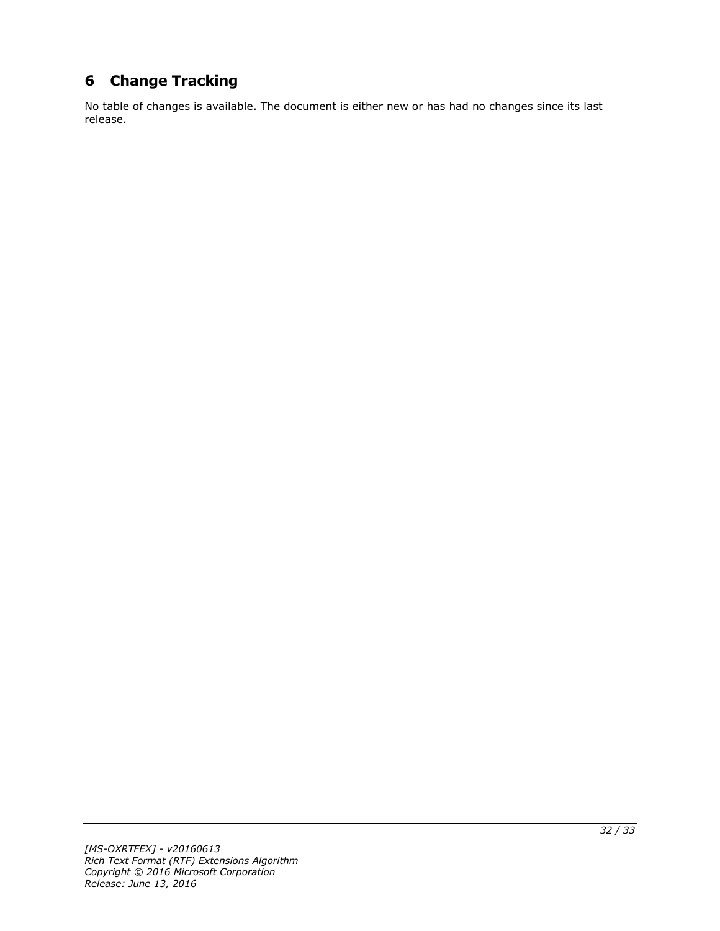## <span id="page-31-0"></span>**6 Change Tracking**

No table of changes is available. The document is either new or has had no changes since its last release.